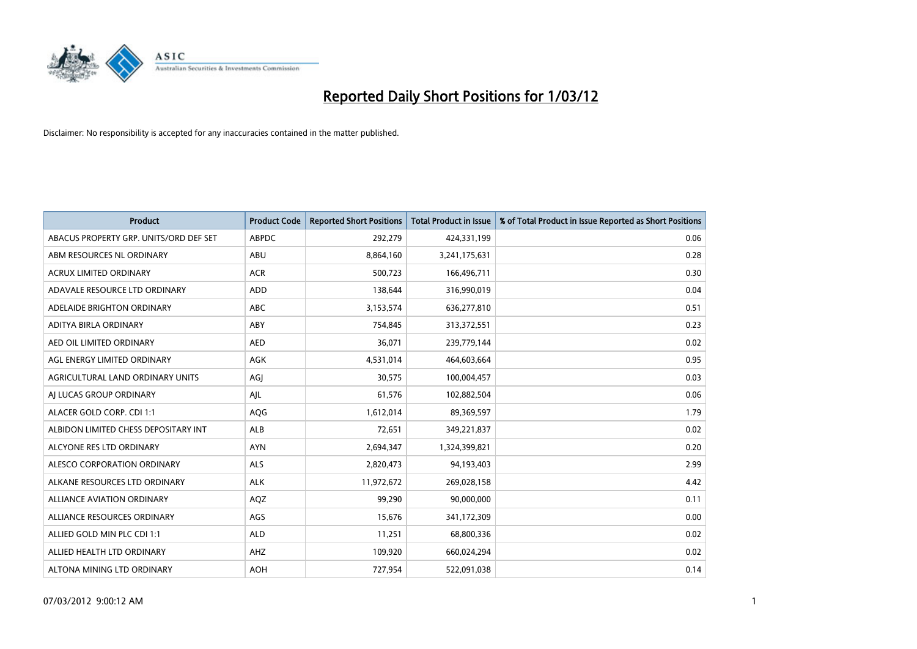

| <b>Product</b>                         | <b>Product Code</b> | <b>Reported Short Positions</b> | <b>Total Product in Issue</b> | % of Total Product in Issue Reported as Short Positions |
|----------------------------------------|---------------------|---------------------------------|-------------------------------|---------------------------------------------------------|
| ABACUS PROPERTY GRP. UNITS/ORD DEF SET | <b>ABPDC</b>        | 292,279                         | 424,331,199                   | 0.06                                                    |
| ABM RESOURCES NL ORDINARY              | ABU                 | 8,864,160                       | 3,241,175,631                 | 0.28                                                    |
| <b>ACRUX LIMITED ORDINARY</b>          | <b>ACR</b>          | 500,723                         | 166,496,711                   | 0.30                                                    |
| ADAVALE RESOURCE LTD ORDINARY          | <b>ADD</b>          | 138,644                         | 316,990,019                   | 0.04                                                    |
| ADELAIDE BRIGHTON ORDINARY             | ABC                 | 3,153,574                       | 636,277,810                   | 0.51                                                    |
| ADITYA BIRLA ORDINARY                  | ABY                 | 754,845                         | 313,372,551                   | 0.23                                                    |
| AED OIL LIMITED ORDINARY               | <b>AED</b>          | 36,071                          | 239,779,144                   | 0.02                                                    |
| AGL ENERGY LIMITED ORDINARY            | AGK                 | 4,531,014                       | 464,603,664                   | 0.95                                                    |
| AGRICULTURAL LAND ORDINARY UNITS       | AGI                 | 30,575                          | 100,004,457                   | 0.03                                                    |
| AI LUCAS GROUP ORDINARY                | AJL                 | 61,576                          | 102,882,504                   | 0.06                                                    |
| ALACER GOLD CORP. CDI 1:1              | AQG                 | 1,612,014                       | 89,369,597                    | 1.79                                                    |
| ALBIDON LIMITED CHESS DEPOSITARY INT   | <b>ALB</b>          | 72,651                          | 349,221,837                   | 0.02                                                    |
| ALCYONE RES LTD ORDINARY               | <b>AYN</b>          | 2,694,347                       | 1,324,399,821                 | 0.20                                                    |
| ALESCO CORPORATION ORDINARY            | ALS                 | 2,820,473                       | 94,193,403                    | 2.99                                                    |
| ALKANE RESOURCES LTD ORDINARY          | <b>ALK</b>          | 11,972,672                      | 269,028,158                   | 4.42                                                    |
| <b>ALLIANCE AVIATION ORDINARY</b>      | AQZ                 | 99,290                          | 90,000,000                    | 0.11                                                    |
| ALLIANCE RESOURCES ORDINARY            | AGS                 | 15,676                          | 341,172,309                   | 0.00                                                    |
| ALLIED GOLD MIN PLC CDI 1:1            | <b>ALD</b>          | 11,251                          | 68,800,336                    | 0.02                                                    |
| ALLIED HEALTH LTD ORDINARY             | AHZ                 | 109,920                         | 660,024,294                   | 0.02                                                    |
| ALTONA MINING LTD ORDINARY             | <b>AOH</b>          | 727,954                         | 522,091,038                   | 0.14                                                    |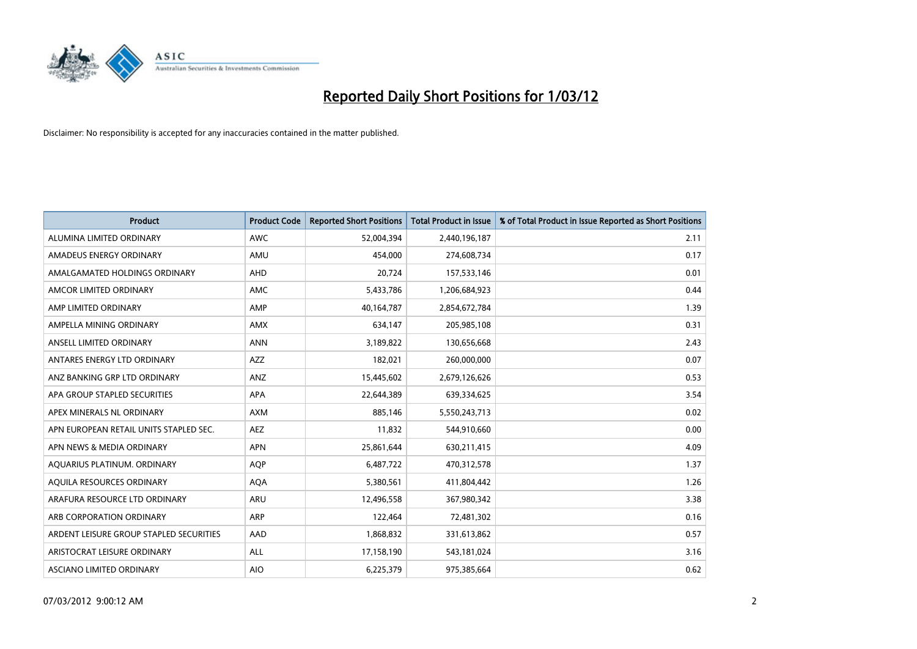

| <b>Product</b>                          | <b>Product Code</b> | <b>Reported Short Positions</b> | <b>Total Product in Issue</b> | % of Total Product in Issue Reported as Short Positions |
|-----------------------------------------|---------------------|---------------------------------|-------------------------------|---------------------------------------------------------|
| ALUMINA LIMITED ORDINARY                | <b>AWC</b>          | 52,004,394                      | 2,440,196,187                 | 2.11                                                    |
| AMADEUS ENERGY ORDINARY                 | AMU                 | 454.000                         | 274,608,734                   | 0.17                                                    |
| AMALGAMATED HOLDINGS ORDINARY           | AHD                 | 20,724                          | 157,533,146                   | 0.01                                                    |
| AMCOR LIMITED ORDINARY                  | AMC                 | 5,433,786                       | 1,206,684,923                 | 0.44                                                    |
| AMP LIMITED ORDINARY                    | AMP                 | 40,164,787                      | 2,854,672,784                 | 1.39                                                    |
| AMPELLA MINING ORDINARY                 | AMX                 | 634,147                         | 205,985,108                   | 0.31                                                    |
| ANSELL LIMITED ORDINARY                 | <b>ANN</b>          | 3,189,822                       | 130,656,668                   | 2.43                                                    |
| ANTARES ENERGY LTD ORDINARY             | <b>AZZ</b>          | 182,021                         | 260,000,000                   | 0.07                                                    |
| ANZ BANKING GRP LTD ORDINARY            | ANZ                 | 15,445,602                      | 2,679,126,626                 | 0.53                                                    |
| APA GROUP STAPLED SECURITIES            | <b>APA</b>          | 22,644,389                      | 639,334,625                   | 3.54                                                    |
| APEX MINERALS NL ORDINARY               | <b>AXM</b>          | 885,146                         | 5,550,243,713                 | 0.02                                                    |
| APN EUROPEAN RETAIL UNITS STAPLED SEC.  | AEZ                 | 11,832                          | 544,910,660                   | 0.00                                                    |
| APN NEWS & MEDIA ORDINARY               | <b>APN</b>          | 25,861,644                      | 630,211,415                   | 4.09                                                    |
| AQUARIUS PLATINUM. ORDINARY             | <b>AOP</b>          | 6,487,722                       | 470,312,578                   | 1.37                                                    |
| AQUILA RESOURCES ORDINARY               | <b>AQA</b>          | 5,380,561                       | 411,804,442                   | 1.26                                                    |
| ARAFURA RESOURCE LTD ORDINARY           | <b>ARU</b>          | 12,496,558                      | 367,980,342                   | 3.38                                                    |
| ARB CORPORATION ORDINARY                | <b>ARP</b>          | 122,464                         | 72,481,302                    | 0.16                                                    |
| ARDENT LEISURE GROUP STAPLED SECURITIES | AAD                 | 1,868,832                       | 331,613,862                   | 0.57                                                    |
| ARISTOCRAT LEISURE ORDINARY             | ALL                 | 17,158,190                      | 543,181,024                   | 3.16                                                    |
| ASCIANO LIMITED ORDINARY                | <b>AIO</b>          | 6,225,379                       | 975,385,664                   | 0.62                                                    |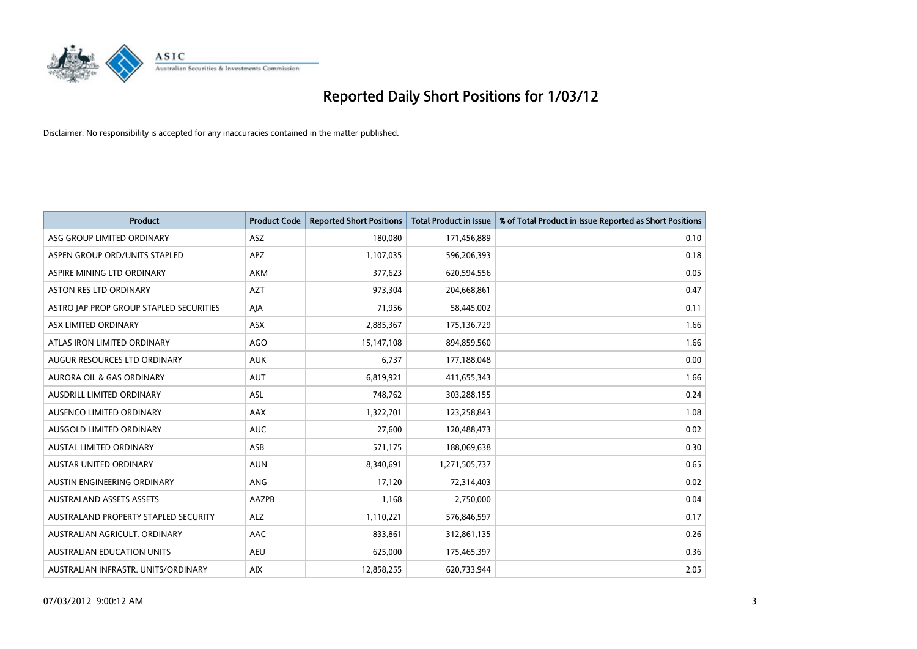

| <b>Product</b>                          | <b>Product Code</b> | <b>Reported Short Positions</b> | <b>Total Product in Issue</b> | % of Total Product in Issue Reported as Short Positions |
|-----------------------------------------|---------------------|---------------------------------|-------------------------------|---------------------------------------------------------|
| ASG GROUP LIMITED ORDINARY              | <b>ASZ</b>          | 180,080                         | 171,456,889                   | 0.10                                                    |
| ASPEN GROUP ORD/UNITS STAPLED           | <b>APZ</b>          | 1,107,035                       | 596,206,393                   | 0.18                                                    |
| ASPIRE MINING LTD ORDINARY              | <b>AKM</b>          | 377,623                         | 620,594,556                   | 0.05                                                    |
| ASTON RES LTD ORDINARY                  | <b>AZT</b>          | 973,304                         | 204,668,861                   | 0.47                                                    |
| ASTRO JAP PROP GROUP STAPLED SECURITIES | AJA                 | 71,956                          | 58,445,002                    | 0.11                                                    |
| ASX LIMITED ORDINARY                    | ASX                 | 2,885,367                       | 175,136,729                   | 1.66                                                    |
| ATLAS IRON LIMITED ORDINARY             | <b>AGO</b>          | 15,147,108                      | 894,859,560                   | 1.66                                                    |
| AUGUR RESOURCES LTD ORDINARY            | <b>AUK</b>          | 6,737                           | 177,188,048                   | 0.00                                                    |
| <b>AURORA OIL &amp; GAS ORDINARY</b>    | <b>AUT</b>          | 6,819,921                       | 411,655,343                   | 1.66                                                    |
| AUSDRILL LIMITED ORDINARY               | <b>ASL</b>          | 748,762                         | 303,288,155                   | 0.24                                                    |
| AUSENCO LIMITED ORDINARY                | AAX                 | 1,322,701                       | 123,258,843                   | 1.08                                                    |
| AUSGOLD LIMITED ORDINARY                | <b>AUC</b>          | 27,600                          | 120,488,473                   | 0.02                                                    |
| AUSTAL LIMITED ORDINARY                 | ASB                 | 571,175                         | 188,069,638                   | 0.30                                                    |
| <b>AUSTAR UNITED ORDINARY</b>           | <b>AUN</b>          | 8,340,691                       | 1,271,505,737                 | 0.65                                                    |
| AUSTIN ENGINEERING ORDINARY             | ANG                 | 17,120                          | 72,314,403                    | 0.02                                                    |
| <b>AUSTRALAND ASSETS ASSETS</b>         | AAZPB               | 1,168                           | 2,750,000                     | 0.04                                                    |
| AUSTRALAND PROPERTY STAPLED SECURITY    | <b>ALZ</b>          | 1,110,221                       | 576,846,597                   | 0.17                                                    |
| AUSTRALIAN AGRICULT. ORDINARY           | AAC                 | 833,861                         | 312,861,135                   | 0.26                                                    |
| <b>AUSTRALIAN EDUCATION UNITS</b>       | <b>AEU</b>          | 625,000                         | 175,465,397                   | 0.36                                                    |
| AUSTRALIAN INFRASTR. UNITS/ORDINARY     | <b>AIX</b>          | 12,858,255                      | 620,733,944                   | 2.05                                                    |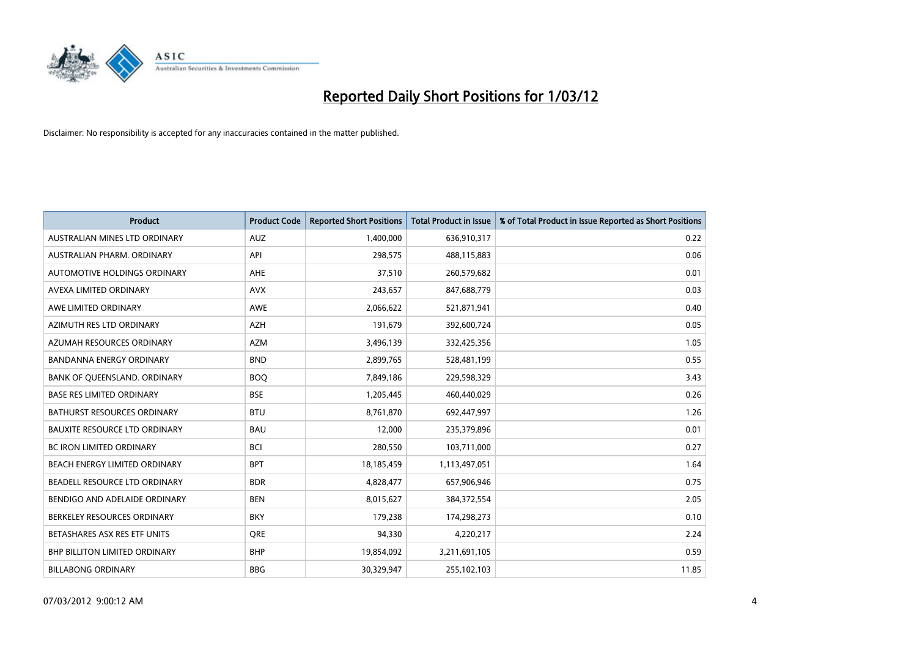

| <b>Product</b>                       | <b>Product Code</b> | <b>Reported Short Positions</b> | <b>Total Product in Issue</b> | % of Total Product in Issue Reported as Short Positions |
|--------------------------------------|---------------------|---------------------------------|-------------------------------|---------------------------------------------------------|
| AUSTRALIAN MINES LTD ORDINARY        | <b>AUZ</b>          | 1,400,000                       | 636,910,317                   | 0.22                                                    |
| AUSTRALIAN PHARM. ORDINARY           | API                 | 298,575                         | 488,115,883                   | 0.06                                                    |
| AUTOMOTIVE HOLDINGS ORDINARY         | AHE                 | 37,510                          | 260,579,682                   | 0.01                                                    |
| AVEXA LIMITED ORDINARY               | <b>AVX</b>          | 243,657                         | 847,688,779                   | 0.03                                                    |
| AWE LIMITED ORDINARY                 | AWE                 | 2,066,622                       | 521,871,941                   | 0.40                                                    |
| AZIMUTH RES LTD ORDINARY             | <b>AZH</b>          | 191,679                         | 392,600,724                   | 0.05                                                    |
| AZUMAH RESOURCES ORDINARY            | <b>AZM</b>          | 3,496,139                       | 332,425,356                   | 1.05                                                    |
| BANDANNA ENERGY ORDINARY             | <b>BND</b>          | 2,899,765                       | 528,481,199                   | 0.55                                                    |
| BANK OF QUEENSLAND. ORDINARY         | <b>BOQ</b>          | 7,849,186                       | 229,598,329                   | 3.43                                                    |
| <b>BASE RES LIMITED ORDINARY</b>     | <b>BSE</b>          | 1,205,445                       | 460,440,029                   | 0.26                                                    |
| BATHURST RESOURCES ORDINARY          | <b>BTU</b>          | 8,761,870                       | 692,447,997                   | 1.26                                                    |
| <b>BAUXITE RESOURCE LTD ORDINARY</b> | <b>BAU</b>          | 12,000                          | 235,379,896                   | 0.01                                                    |
| <b>BC IRON LIMITED ORDINARY</b>      | <b>BCI</b>          | 280,550                         | 103,711,000                   | 0.27                                                    |
| BEACH ENERGY LIMITED ORDINARY        | <b>BPT</b>          | 18,185,459                      | 1,113,497,051                 | 1.64                                                    |
| BEADELL RESOURCE LTD ORDINARY        | <b>BDR</b>          | 4,828,477                       | 657,906,946                   | 0.75                                                    |
| BENDIGO AND ADELAIDE ORDINARY        | <b>BEN</b>          | 8,015,627                       | 384,372,554                   | 2.05                                                    |
| BERKELEY RESOURCES ORDINARY          | <b>BKY</b>          | 179,238                         | 174,298,273                   | 0.10                                                    |
| BETASHARES ASX RES ETF UNITS         | <b>ORE</b>          | 94,330                          | 4,220,217                     | 2.24                                                    |
| <b>BHP BILLITON LIMITED ORDINARY</b> | <b>BHP</b>          | 19,854,092                      | 3,211,691,105                 | 0.59                                                    |
| <b>BILLABONG ORDINARY</b>            | <b>BBG</b>          | 30,329,947                      | 255,102,103                   | 11.85                                                   |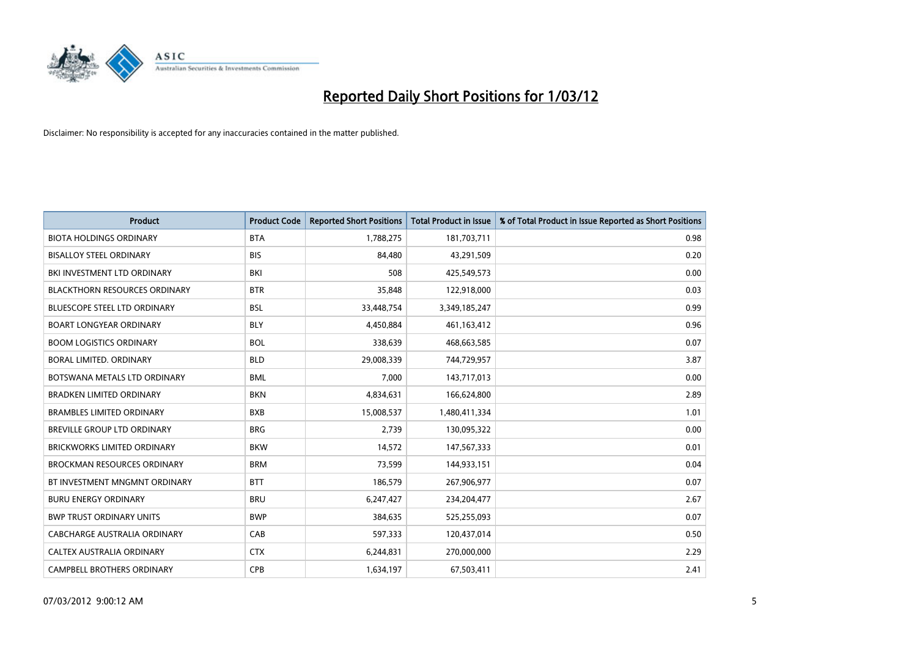

| <b>Product</b>                       | <b>Product Code</b> | <b>Reported Short Positions</b> | <b>Total Product in Issue</b> | % of Total Product in Issue Reported as Short Positions |
|--------------------------------------|---------------------|---------------------------------|-------------------------------|---------------------------------------------------------|
| <b>BIOTA HOLDINGS ORDINARY</b>       | <b>BTA</b>          | 1,788,275                       | 181,703,711                   | 0.98                                                    |
| <b>BISALLOY STEEL ORDINARY</b>       | <b>BIS</b>          | 84,480                          | 43,291,509                    | 0.20                                                    |
| BKI INVESTMENT LTD ORDINARY          | BKI                 | 508                             | 425,549,573                   | 0.00                                                    |
| <b>BLACKTHORN RESOURCES ORDINARY</b> | <b>BTR</b>          | 35,848                          | 122,918,000                   | 0.03                                                    |
| <b>BLUESCOPE STEEL LTD ORDINARY</b>  | <b>BSL</b>          | 33,448,754                      | 3,349,185,247                 | 0.99                                                    |
| <b>BOART LONGYEAR ORDINARY</b>       | <b>BLY</b>          | 4,450,884                       | 461,163,412                   | 0.96                                                    |
| <b>BOOM LOGISTICS ORDINARY</b>       | <b>BOL</b>          | 338,639                         | 468,663,585                   | 0.07                                                    |
| BORAL LIMITED, ORDINARY              | <b>BLD</b>          | 29,008,339                      | 744,729,957                   | 3.87                                                    |
| BOTSWANA METALS LTD ORDINARY         | <b>BML</b>          | 7,000                           | 143,717,013                   | 0.00                                                    |
| <b>BRADKEN LIMITED ORDINARY</b>      | <b>BKN</b>          | 4,834,631                       | 166,624,800                   | 2.89                                                    |
| <b>BRAMBLES LIMITED ORDINARY</b>     | <b>BXB</b>          | 15,008,537                      | 1,480,411,334                 | 1.01                                                    |
| <b>BREVILLE GROUP LTD ORDINARY</b>   | <b>BRG</b>          | 2,739                           | 130,095,322                   | 0.00                                                    |
| <b>BRICKWORKS LIMITED ORDINARY</b>   | <b>BKW</b>          | 14,572                          | 147,567,333                   | 0.01                                                    |
| <b>BROCKMAN RESOURCES ORDINARY</b>   | <b>BRM</b>          | 73,599                          | 144,933,151                   | 0.04                                                    |
| BT INVESTMENT MNGMNT ORDINARY        | <b>BTT</b>          | 186,579                         | 267,906,977                   | 0.07                                                    |
| <b>BURU ENERGY ORDINARY</b>          | <b>BRU</b>          | 6,247,427                       | 234,204,477                   | 2.67                                                    |
| <b>BWP TRUST ORDINARY UNITS</b>      | <b>BWP</b>          | 384,635                         | 525,255,093                   | 0.07                                                    |
| <b>CABCHARGE AUSTRALIA ORDINARY</b>  | CAB                 | 597,333                         | 120,437,014                   | 0.50                                                    |
| CALTEX AUSTRALIA ORDINARY            | <b>CTX</b>          | 6,244,831                       | 270,000,000                   | 2.29                                                    |
| CAMPBELL BROTHERS ORDINARY           | <b>CPB</b>          | 1,634,197                       | 67,503,411                    | 2.41                                                    |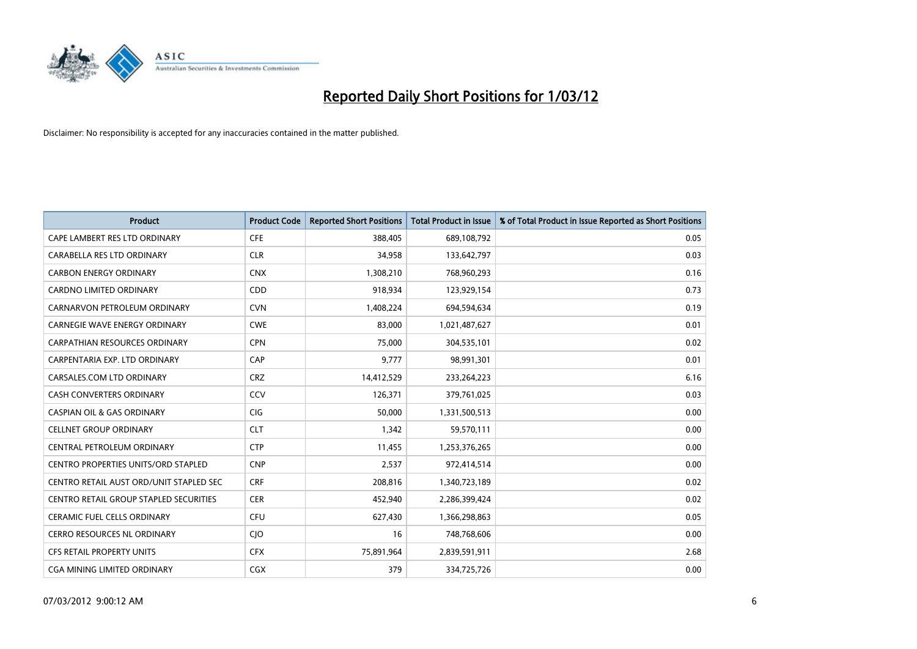

| <b>Product</b>                                | <b>Product Code</b> | <b>Reported Short Positions</b> | <b>Total Product in Issue</b> | % of Total Product in Issue Reported as Short Positions |
|-----------------------------------------------|---------------------|---------------------------------|-------------------------------|---------------------------------------------------------|
| CAPE LAMBERT RES LTD ORDINARY                 | <b>CFE</b>          | 388,405                         | 689,108,792                   | 0.05                                                    |
| CARABELLA RES LTD ORDINARY                    | <b>CLR</b>          | 34,958                          | 133,642,797                   | 0.03                                                    |
| <b>CARBON ENERGY ORDINARY</b>                 | <b>CNX</b>          | 1,308,210                       | 768,960,293                   | 0.16                                                    |
| CARDNO LIMITED ORDINARY                       | CDD                 | 918,934                         | 123,929,154                   | 0.73                                                    |
| CARNARVON PETROLEUM ORDINARY                  | <b>CVN</b>          | 1,408,224                       | 694,594,634                   | 0.19                                                    |
| CARNEGIE WAVE ENERGY ORDINARY                 | <b>CWE</b>          | 83,000                          | 1,021,487,627                 | 0.01                                                    |
| <b>CARPATHIAN RESOURCES ORDINARY</b>          | <b>CPN</b>          | 75,000                          | 304,535,101                   | 0.02                                                    |
| CARPENTARIA EXP. LTD ORDINARY                 | CAP                 | 9,777                           | 98,991,301                    | 0.01                                                    |
| CARSALES.COM LTD ORDINARY                     | <b>CRZ</b>          | 14,412,529                      | 233,264,223                   | 6.16                                                    |
| <b>CASH CONVERTERS ORDINARY</b>               | CCV                 | 126,371                         | 379,761,025                   | 0.03                                                    |
| CASPIAN OIL & GAS ORDINARY                    | CIG                 | 50,000                          | 1,331,500,513                 | 0.00                                                    |
| <b>CELLNET GROUP ORDINARY</b>                 | <b>CLT</b>          | 1,342                           | 59,570,111                    | 0.00                                                    |
| CENTRAL PETROLEUM ORDINARY                    | <b>CTP</b>          | 11,455                          | 1,253,376,265                 | 0.00                                                    |
| <b>CENTRO PROPERTIES UNITS/ORD STAPLED</b>    | <b>CNP</b>          | 2,537                           | 972,414,514                   | 0.00                                                    |
| CENTRO RETAIL AUST ORD/UNIT STAPLED SEC       | <b>CRF</b>          | 208,816                         | 1,340,723,189                 | 0.02                                                    |
| <b>CENTRO RETAIL GROUP STAPLED SECURITIES</b> | <b>CER</b>          | 452,940                         | 2,286,399,424                 | 0.02                                                    |
| CERAMIC FUEL CELLS ORDINARY                   | <b>CFU</b>          | 627,430                         | 1,366,298,863                 | 0.05                                                    |
| CERRO RESOURCES NL ORDINARY                   | CJO                 | 16                              | 748,768,606                   | 0.00                                                    |
| <b>CFS RETAIL PROPERTY UNITS</b>              | <b>CFX</b>          | 75,891,964                      | 2,839,591,911                 | 2.68                                                    |
| CGA MINING LIMITED ORDINARY                   | CGX                 | 379                             | 334,725,726                   | 0.00                                                    |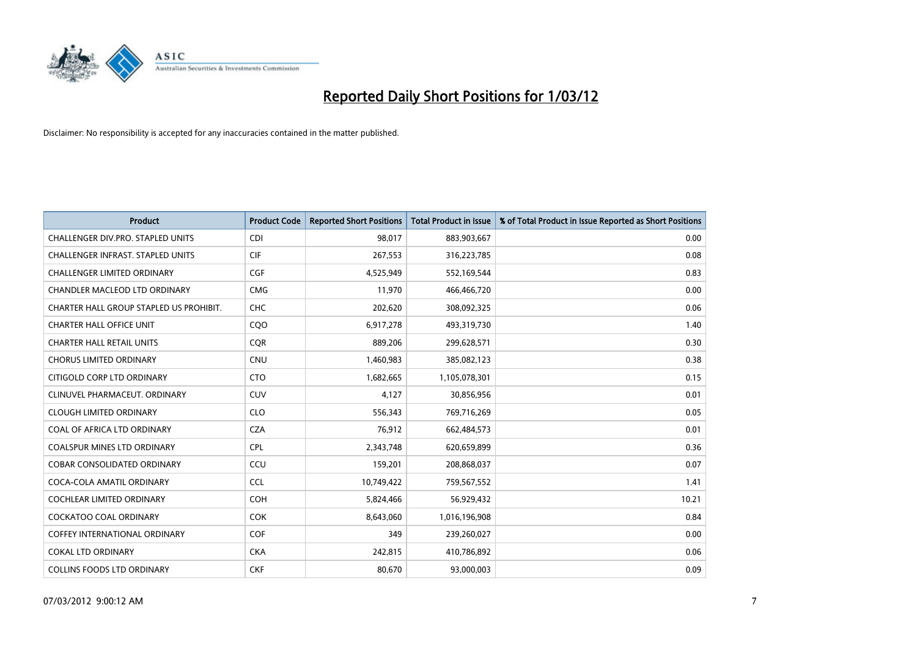

| <b>Product</b>                           | <b>Product Code</b> | <b>Reported Short Positions</b> | <b>Total Product in Issue</b> | % of Total Product in Issue Reported as Short Positions |
|------------------------------------------|---------------------|---------------------------------|-------------------------------|---------------------------------------------------------|
| CHALLENGER DIV.PRO. STAPLED UNITS        | <b>CDI</b>          | 98,017                          | 883,903,667                   | 0.00                                                    |
| <b>CHALLENGER INFRAST, STAPLED UNITS</b> | <b>CIF</b>          | 267,553                         | 316,223,785                   | 0.08                                                    |
| CHALLENGER LIMITED ORDINARY              | <b>CGF</b>          | 4,525,949                       | 552,169,544                   | 0.83                                                    |
| CHANDLER MACLEOD LTD ORDINARY            | <b>CMG</b>          | 11,970                          | 466,466,720                   | 0.00                                                    |
| CHARTER HALL GROUP STAPLED US PROHIBIT.  | <b>CHC</b>          | 202,620                         | 308,092,325                   | 0.06                                                    |
| <b>CHARTER HALL OFFICE UNIT</b>          | CQ <sub>O</sub>     | 6,917,278                       | 493,319,730                   | 1.40                                                    |
| <b>CHARTER HALL RETAIL UNITS</b>         | <b>CQR</b>          | 889,206                         | 299,628,571                   | 0.30                                                    |
| <b>CHORUS LIMITED ORDINARY</b>           | <b>CNU</b>          | 1,460,983                       | 385,082,123                   | 0.38                                                    |
| CITIGOLD CORP LTD ORDINARY               | <b>CTO</b>          | 1,682,665                       | 1,105,078,301                 | 0.15                                                    |
| CLINUVEL PHARMACEUT, ORDINARY            | CUV                 | 4,127                           | 30,856,956                    | 0.01                                                    |
| <b>CLOUGH LIMITED ORDINARY</b>           | <b>CLO</b>          | 556,343                         | 769,716,269                   | 0.05                                                    |
| COAL OF AFRICA LTD ORDINARY              | <b>CZA</b>          | 76,912                          | 662,484,573                   | 0.01                                                    |
| COALSPUR MINES LTD ORDINARY              | <b>CPL</b>          | 2,343,748                       | 620,659,899                   | 0.36                                                    |
| <b>COBAR CONSOLIDATED ORDINARY</b>       | CCU                 | 159,201                         | 208,868,037                   | 0.07                                                    |
| COCA-COLA AMATIL ORDINARY                | <b>CCL</b>          | 10,749,422                      | 759,567,552                   | 1.41                                                    |
| <b>COCHLEAR LIMITED ORDINARY</b>         | <b>COH</b>          | 5,824,466                       | 56,929,432                    | 10.21                                                   |
| <b>COCKATOO COAL ORDINARY</b>            | <b>COK</b>          | 8,643,060                       | 1,016,196,908                 | 0.84                                                    |
| <b>COFFEY INTERNATIONAL ORDINARY</b>     | <b>COF</b>          | 349                             | 239,260,027                   | 0.00                                                    |
| <b>COKAL LTD ORDINARY</b>                | <b>CKA</b>          | 242,815                         | 410,786,892                   | 0.06                                                    |
| <b>COLLINS FOODS LTD ORDINARY</b>        | <b>CKF</b>          | 80,670                          | 93,000,003                    | 0.09                                                    |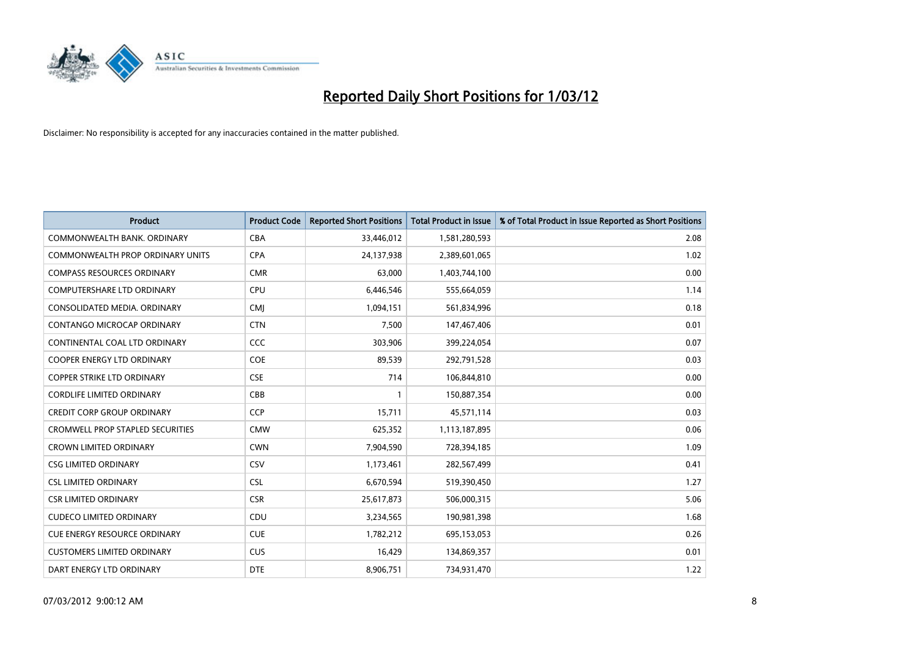

| <b>Product</b>                          | <b>Product Code</b> | <b>Reported Short Positions</b> | <b>Total Product in Issue</b> | % of Total Product in Issue Reported as Short Positions |
|-----------------------------------------|---------------------|---------------------------------|-------------------------------|---------------------------------------------------------|
| COMMONWEALTH BANK, ORDINARY             | <b>CBA</b>          | 33,446,012                      | 1,581,280,593                 | 2.08                                                    |
| COMMONWEALTH PROP ORDINARY UNITS        | <b>CPA</b>          | 24,137,938                      | 2,389,601,065                 | 1.02                                                    |
| <b>COMPASS RESOURCES ORDINARY</b>       | <b>CMR</b>          | 63,000                          | 1,403,744,100                 | 0.00                                                    |
| COMPUTERSHARE LTD ORDINARY              | <b>CPU</b>          | 6,446,546                       | 555,664,059                   | 1.14                                                    |
| CONSOLIDATED MEDIA, ORDINARY            | <b>CMI</b>          | 1,094,151                       | 561,834,996                   | 0.18                                                    |
| CONTANGO MICROCAP ORDINARY              | <b>CTN</b>          | 7,500                           | 147,467,406                   | 0.01                                                    |
| CONTINENTAL COAL LTD ORDINARY           | <b>CCC</b>          | 303,906                         | 399,224,054                   | 0.07                                                    |
| <b>COOPER ENERGY LTD ORDINARY</b>       | <b>COE</b>          | 89,539                          | 292,791,528                   | 0.03                                                    |
| <b>COPPER STRIKE LTD ORDINARY</b>       | <b>CSE</b>          | 714                             | 106,844,810                   | 0.00                                                    |
| <b>CORDLIFE LIMITED ORDINARY</b>        | CBB                 | $\mathbf{1}$                    | 150,887,354                   | 0.00                                                    |
| <b>CREDIT CORP GROUP ORDINARY</b>       | <b>CCP</b>          | 15,711                          | 45,571,114                    | 0.03                                                    |
| <b>CROMWELL PROP STAPLED SECURITIES</b> | <b>CMW</b>          | 625,352                         | 1,113,187,895                 | 0.06                                                    |
| <b>CROWN LIMITED ORDINARY</b>           | <b>CWN</b>          | 7,904,590                       | 728,394,185                   | 1.09                                                    |
| <b>CSG LIMITED ORDINARY</b>             | CSV                 | 1,173,461                       | 282,567,499                   | 0.41                                                    |
| <b>CSL LIMITED ORDINARY</b>             | <b>CSL</b>          | 6,670,594                       | 519,390,450                   | 1.27                                                    |
| <b>CSR LIMITED ORDINARY</b>             | <b>CSR</b>          | 25,617,873                      | 506,000,315                   | 5.06                                                    |
| <b>CUDECO LIMITED ORDINARY</b>          | CDU                 | 3,234,565                       | 190,981,398                   | 1.68                                                    |
| CUE ENERGY RESOURCE ORDINARY            | <b>CUE</b>          | 1,782,212                       | 695,153,053                   | 0.26                                                    |
| <b>CUSTOMERS LIMITED ORDINARY</b>       | <b>CUS</b>          | 16,429                          | 134,869,357                   | 0.01                                                    |
| DART ENERGY LTD ORDINARY                | <b>DTE</b>          | 8,906,751                       | 734,931,470                   | 1.22                                                    |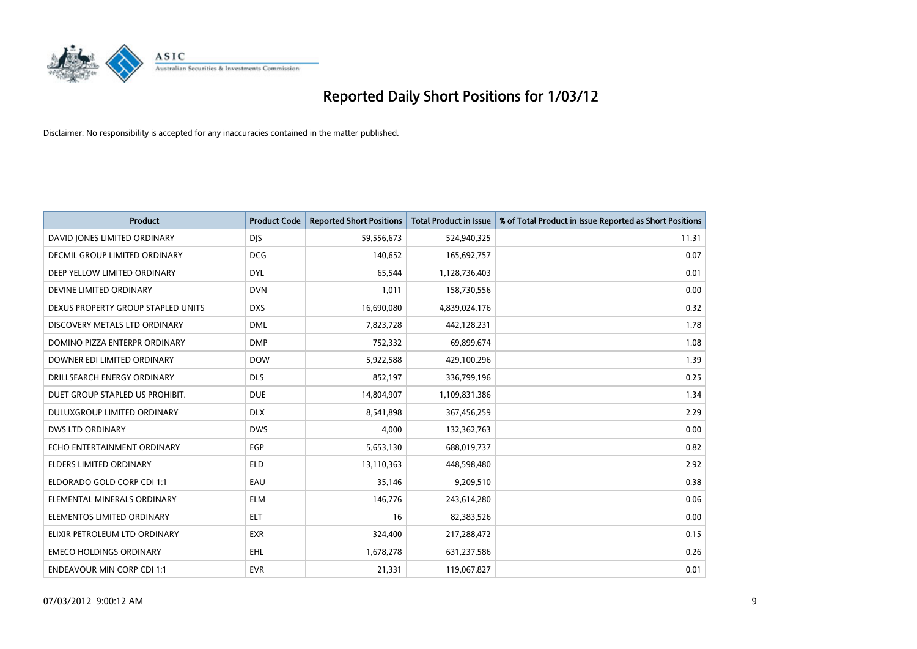

| <b>Product</b>                     | <b>Product Code</b> | <b>Reported Short Positions</b> | <b>Total Product in Issue</b> | % of Total Product in Issue Reported as Short Positions |
|------------------------------------|---------------------|---------------------------------|-------------------------------|---------------------------------------------------------|
| DAVID JONES LIMITED ORDINARY       | <b>DJS</b>          | 59,556,673                      | 524,940,325                   | 11.31                                                   |
| DECMIL GROUP LIMITED ORDINARY      | <b>DCG</b>          | 140,652                         | 165,692,757                   | 0.07                                                    |
| DEEP YELLOW LIMITED ORDINARY       | <b>DYL</b>          | 65,544                          | 1,128,736,403                 | 0.01                                                    |
| DEVINE LIMITED ORDINARY            | <b>DVN</b>          | 1,011                           | 158,730,556                   | 0.00                                                    |
| DEXUS PROPERTY GROUP STAPLED UNITS | <b>DXS</b>          | 16,690,080                      | 4,839,024,176                 | 0.32                                                    |
| DISCOVERY METALS LTD ORDINARY      | <b>DML</b>          | 7,823,728                       | 442,128,231                   | 1.78                                                    |
| DOMINO PIZZA ENTERPR ORDINARY      | <b>DMP</b>          | 752,332                         | 69,899,674                    | 1.08                                                    |
| DOWNER EDI LIMITED ORDINARY        | <b>DOW</b>          | 5,922,588                       | 429,100,296                   | 1.39                                                    |
| DRILLSEARCH ENERGY ORDINARY        | <b>DLS</b>          | 852,197                         | 336,799,196                   | 0.25                                                    |
| DUET GROUP STAPLED US PROHIBIT.    | <b>DUE</b>          | 14,804,907                      | 1,109,831,386                 | 1.34                                                    |
| <b>DULUXGROUP LIMITED ORDINARY</b> | <b>DLX</b>          | 8,541,898                       | 367,456,259                   | 2.29                                                    |
| <b>DWS LTD ORDINARY</b>            | <b>DWS</b>          | 4,000                           | 132,362,763                   | 0.00                                                    |
| ECHO ENTERTAINMENT ORDINARY        | EGP                 | 5,653,130                       | 688,019,737                   | 0.82                                                    |
| <b>ELDERS LIMITED ORDINARY</b>     | <b>ELD</b>          | 13,110,363                      | 448,598,480                   | 2.92                                                    |
| ELDORADO GOLD CORP CDI 1:1         | EAU                 | 35,146                          | 9,209,510                     | 0.38                                                    |
| ELEMENTAL MINERALS ORDINARY        | <b>ELM</b>          | 146,776                         | 243,614,280                   | 0.06                                                    |
| ELEMENTOS LIMITED ORDINARY         | <b>ELT</b>          | 16                              | 82,383,526                    | 0.00                                                    |
| ELIXIR PETROLEUM LTD ORDINARY      | <b>EXR</b>          | 324,400                         | 217,288,472                   | 0.15                                                    |
| <b>EMECO HOLDINGS ORDINARY</b>     | <b>EHL</b>          | 1,678,278                       | 631,237,586                   | 0.26                                                    |
| <b>ENDEAVOUR MIN CORP CDI 1:1</b>  | <b>EVR</b>          | 21,331                          | 119,067,827                   | 0.01                                                    |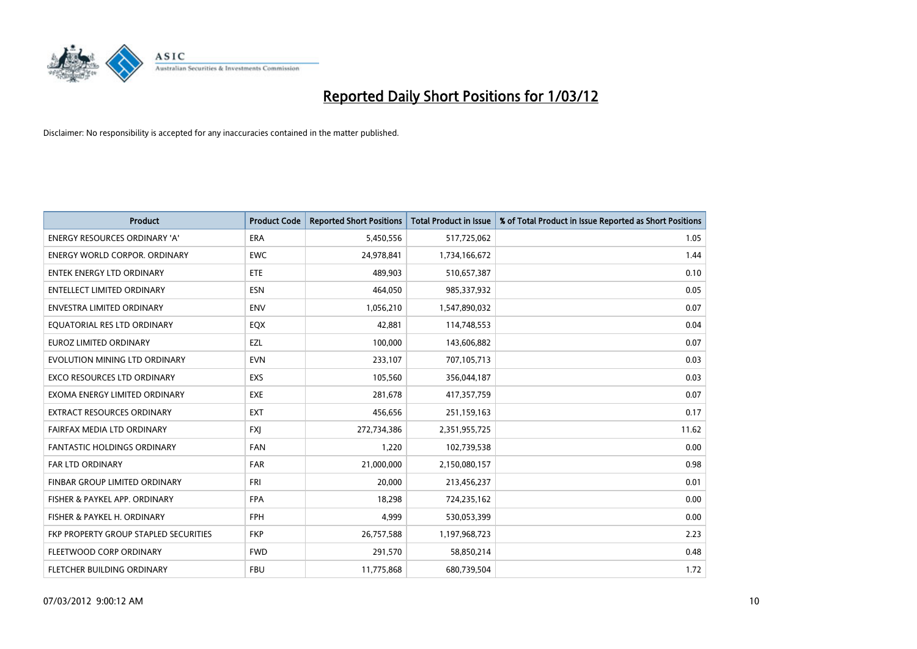

| <b>Product</b>                        | <b>Product Code</b> | <b>Reported Short Positions</b> | <b>Total Product in Issue</b> | % of Total Product in Issue Reported as Short Positions |
|---------------------------------------|---------------------|---------------------------------|-------------------------------|---------------------------------------------------------|
| <b>ENERGY RESOURCES ORDINARY 'A'</b>  | <b>ERA</b>          | 5,450,556                       | 517,725,062                   | 1.05                                                    |
| ENERGY WORLD CORPOR. ORDINARY         | <b>EWC</b>          | 24,978,841                      | 1,734,166,672                 | 1.44                                                    |
| <b>ENTEK ENERGY LTD ORDINARY</b>      | <b>ETE</b>          | 489,903                         | 510,657,387                   | 0.10                                                    |
| <b>ENTELLECT LIMITED ORDINARY</b>     | <b>ESN</b>          | 464,050                         | 985,337,932                   | 0.05                                                    |
| <b>ENVESTRA LIMITED ORDINARY</b>      | <b>ENV</b>          | 1,056,210                       | 1,547,890,032                 | 0.07                                                    |
| EQUATORIAL RES LTD ORDINARY           | <b>EQX</b>          | 42,881                          | 114,748,553                   | 0.04                                                    |
| EUROZ LIMITED ORDINARY                | EZL                 | 100,000                         | 143,606,882                   | 0.07                                                    |
| EVOLUTION MINING LTD ORDINARY         | <b>EVN</b>          | 233,107                         | 707,105,713                   | 0.03                                                    |
| <b>EXCO RESOURCES LTD ORDINARY</b>    | <b>EXS</b>          | 105,560                         | 356,044,187                   | 0.03                                                    |
| EXOMA ENERGY LIMITED ORDINARY         | <b>EXE</b>          | 281,678                         | 417,357,759                   | 0.07                                                    |
| EXTRACT RESOURCES ORDINARY            | <b>EXT</b>          | 456,656                         | 251,159,163                   | 0.17                                                    |
| FAIRFAX MEDIA LTD ORDINARY            | <b>FXJ</b>          | 272,734,386                     | 2,351,955,725                 | 11.62                                                   |
| FANTASTIC HOLDINGS ORDINARY           | <b>FAN</b>          | 1,220                           | 102,739,538                   | 0.00                                                    |
| <b>FAR LTD ORDINARY</b>               | <b>FAR</b>          | 21,000,000                      | 2,150,080,157                 | 0.98                                                    |
| FINBAR GROUP LIMITED ORDINARY         | <b>FRI</b>          | 20,000                          | 213,456,237                   | 0.01                                                    |
| FISHER & PAYKEL APP. ORDINARY         | <b>FPA</b>          | 18,298                          | 724,235,162                   | 0.00                                                    |
| FISHER & PAYKEL H. ORDINARY           | FPH                 | 4,999                           | 530,053,399                   | 0.00                                                    |
| FKP PROPERTY GROUP STAPLED SECURITIES | <b>FKP</b>          | 26,757,588                      | 1,197,968,723                 | 2.23                                                    |
| FLEETWOOD CORP ORDINARY               | <b>FWD</b>          | 291,570                         | 58,850,214                    | 0.48                                                    |
| FLETCHER BUILDING ORDINARY            | <b>FBU</b>          | 11,775,868                      | 680,739,504                   | 1.72                                                    |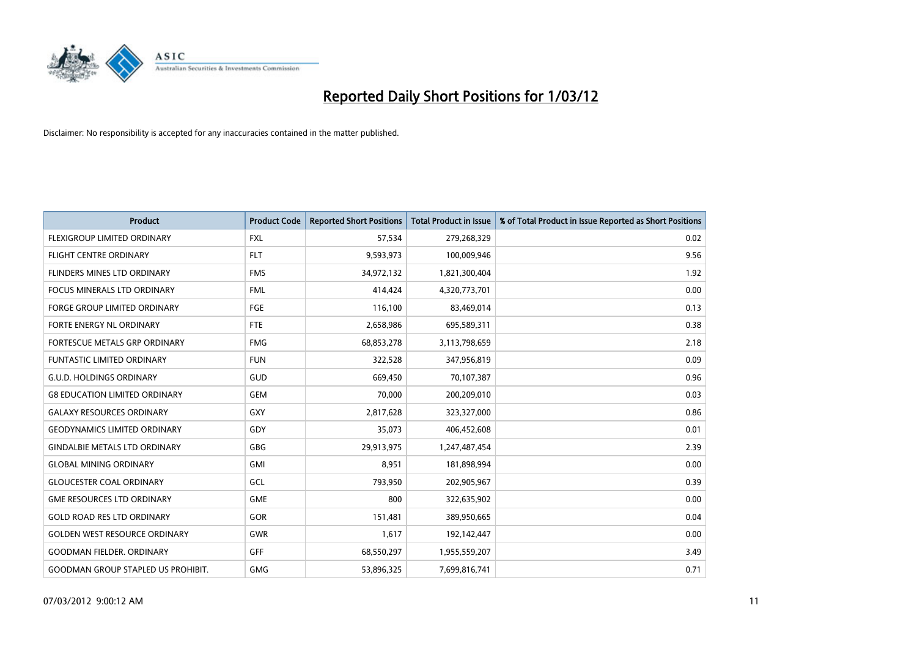

| <b>Product</b>                            | <b>Product Code</b> | <b>Reported Short Positions</b> | <b>Total Product in Issue</b> | % of Total Product in Issue Reported as Short Positions |
|-------------------------------------------|---------------------|---------------------------------|-------------------------------|---------------------------------------------------------|
| FLEXIGROUP LIMITED ORDINARY               | <b>FXL</b>          | 57,534                          | 279,268,329                   | 0.02                                                    |
| <b>FLIGHT CENTRE ORDINARY</b>             | <b>FLT</b>          | 9,593,973                       | 100,009,946                   | 9.56                                                    |
| FLINDERS MINES LTD ORDINARY               | <b>FMS</b>          | 34,972,132                      | 1,821,300,404                 | 1.92                                                    |
| FOCUS MINERALS LTD ORDINARY               | <b>FML</b>          | 414,424                         | 4,320,773,701                 | 0.00                                                    |
| <b>FORGE GROUP LIMITED ORDINARY</b>       | FGE                 | 116,100                         | 83,469,014                    | 0.13                                                    |
| FORTE ENERGY NL ORDINARY                  | FTE                 | 2,658,986                       | 695,589,311                   | 0.38                                                    |
| <b>FORTESCUE METALS GRP ORDINARY</b>      | <b>FMG</b>          | 68,853,278                      | 3,113,798,659                 | 2.18                                                    |
| <b>FUNTASTIC LIMITED ORDINARY</b>         | <b>FUN</b>          | 322,528                         | 347,956,819                   | 0.09                                                    |
| <b>G.U.D. HOLDINGS ORDINARY</b>           | GUD                 | 669,450                         | 70,107,387                    | 0.96                                                    |
| <b>G8 EDUCATION LIMITED ORDINARY</b>      | <b>GEM</b>          | 70,000                          | 200,209,010                   | 0.03                                                    |
| <b>GALAXY RESOURCES ORDINARY</b>          | GXY                 | 2,817,628                       | 323,327,000                   | 0.86                                                    |
| <b>GEODYNAMICS LIMITED ORDINARY</b>       | GDY                 | 35,073                          | 406,452,608                   | 0.01                                                    |
| <b>GINDALBIE METALS LTD ORDINARY</b>      | GBG                 | 29,913,975                      | 1,247,487,454                 | 2.39                                                    |
| <b>GLOBAL MINING ORDINARY</b>             | GMI                 | 8,951                           | 181,898,994                   | 0.00                                                    |
| <b>GLOUCESTER COAL ORDINARY</b>           | GCL                 | 793,950                         | 202,905,967                   | 0.39                                                    |
| <b>GME RESOURCES LTD ORDINARY</b>         | <b>GME</b>          | 800                             | 322,635,902                   | 0.00                                                    |
| <b>GOLD ROAD RES LTD ORDINARY</b>         | GOR                 | 151,481                         | 389,950,665                   | 0.04                                                    |
| <b>GOLDEN WEST RESOURCE ORDINARY</b>      | <b>GWR</b>          | 1,617                           | 192,142,447                   | 0.00                                                    |
| <b>GOODMAN FIELDER, ORDINARY</b>          | <b>GFF</b>          | 68,550,297                      | 1,955,559,207                 | 3.49                                                    |
| <b>GOODMAN GROUP STAPLED US PROHIBIT.</b> | GMG                 | 53,896,325                      | 7,699,816,741                 | 0.71                                                    |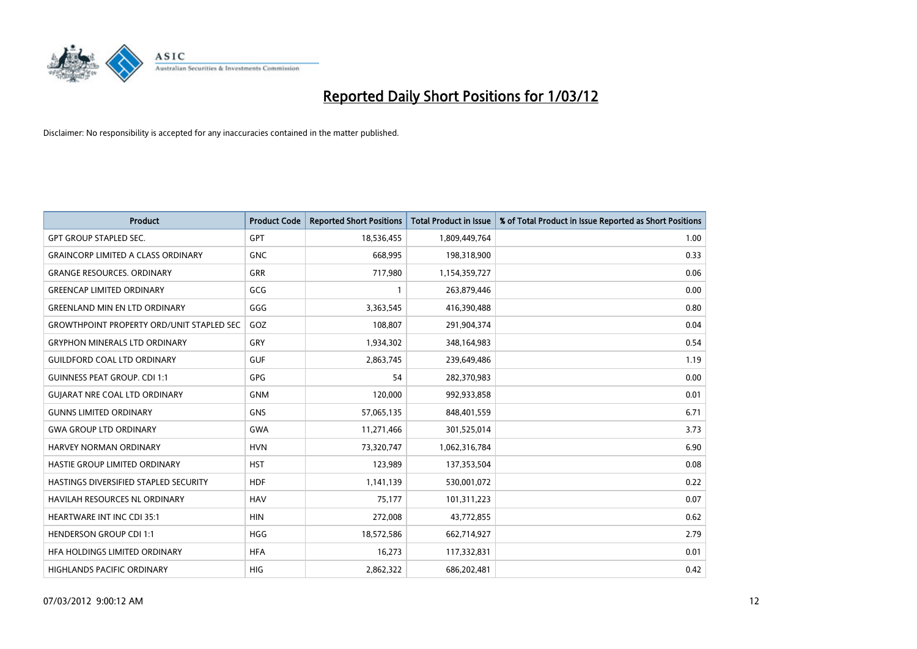

| <b>Product</b>                                   | <b>Product Code</b> | <b>Reported Short Positions</b> | <b>Total Product in Issue</b> | % of Total Product in Issue Reported as Short Positions |
|--------------------------------------------------|---------------------|---------------------------------|-------------------------------|---------------------------------------------------------|
| <b>GPT GROUP STAPLED SEC.</b>                    | GPT                 | 18,536,455                      | 1,809,449,764                 | 1.00                                                    |
| <b>GRAINCORP LIMITED A CLASS ORDINARY</b>        | <b>GNC</b>          | 668,995                         | 198,318,900                   | 0.33                                                    |
| <b>GRANGE RESOURCES, ORDINARY</b>                | <b>GRR</b>          | 717,980                         | 1,154,359,727                 | 0.06                                                    |
| <b>GREENCAP LIMITED ORDINARY</b>                 | GCG                 | 1                               | 263,879,446                   | 0.00                                                    |
| <b>GREENLAND MIN EN LTD ORDINARY</b>             | GGG                 | 3,363,545                       | 416,390,488                   | 0.80                                                    |
| <b>GROWTHPOINT PROPERTY ORD/UNIT STAPLED SEC</b> | GOZ                 | 108,807                         | 291,904,374                   | 0.04                                                    |
| <b>GRYPHON MINERALS LTD ORDINARY</b>             | GRY                 | 1,934,302                       | 348,164,983                   | 0.54                                                    |
| <b>GUILDFORD COAL LTD ORDINARY</b>               | <b>GUF</b>          | 2,863,745                       | 239,649,486                   | 1.19                                                    |
| <b>GUINNESS PEAT GROUP. CDI 1:1</b>              | <b>GPG</b>          | 54                              | 282,370,983                   | 0.00                                                    |
| <b>GUIARAT NRE COAL LTD ORDINARY</b>             | <b>GNM</b>          | 120,000                         | 992,933,858                   | 0.01                                                    |
| <b>GUNNS LIMITED ORDINARY</b>                    | <b>GNS</b>          | 57,065,135                      | 848,401,559                   | 6.71                                                    |
| <b>GWA GROUP LTD ORDINARY</b>                    | <b>GWA</b>          | 11,271,466                      | 301,525,014                   | 3.73                                                    |
| HARVEY NORMAN ORDINARY                           | <b>HVN</b>          | 73,320,747                      | 1,062,316,784                 | 6.90                                                    |
| HASTIE GROUP LIMITED ORDINARY                    | <b>HST</b>          | 123,989                         | 137,353,504                   | 0.08                                                    |
| <b>HASTINGS DIVERSIFIED STAPLED SECURITY</b>     | <b>HDF</b>          | 1,141,139                       | 530,001,072                   | 0.22                                                    |
| HAVILAH RESOURCES NL ORDINARY                    | <b>HAV</b>          | 75,177                          | 101,311,223                   | 0.07                                                    |
| <b>HEARTWARE INT INC CDI 35:1</b>                | <b>HIN</b>          | 272,008                         | 43,772,855                    | 0.62                                                    |
| <b>HENDERSON GROUP CDI 1:1</b>                   | <b>HGG</b>          | 18,572,586                      | 662,714,927                   | 2.79                                                    |
| HFA HOLDINGS LIMITED ORDINARY                    | <b>HFA</b>          | 16,273                          | 117,332,831                   | 0.01                                                    |
| HIGHLANDS PACIFIC ORDINARY                       | HIG                 | 2,862,322                       | 686,202,481                   | 0.42                                                    |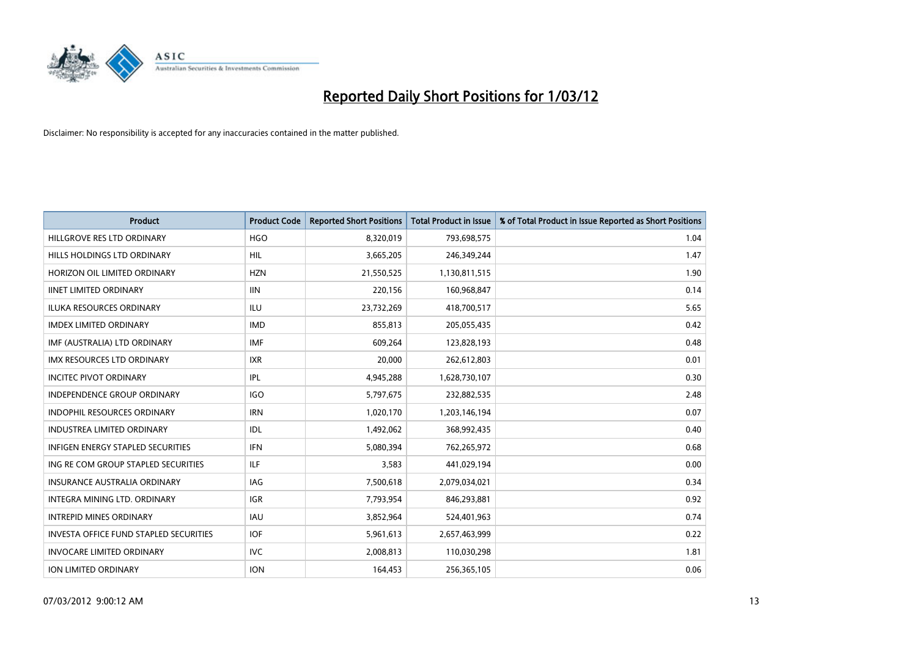

| <b>Product</b>                                | <b>Product Code</b> | <b>Reported Short Positions</b> | <b>Total Product in Issue</b> | % of Total Product in Issue Reported as Short Positions |
|-----------------------------------------------|---------------------|---------------------------------|-------------------------------|---------------------------------------------------------|
| HILLGROVE RES LTD ORDINARY                    | <b>HGO</b>          | 8,320,019                       | 793,698,575                   | 1.04                                                    |
| HILLS HOLDINGS LTD ORDINARY                   | HIL                 | 3,665,205                       | 246,349,244                   | 1.47                                                    |
| HORIZON OIL LIMITED ORDINARY                  | <b>HZN</b>          | 21,550,525                      | 1,130,811,515                 | 1.90                                                    |
| <b>IINET LIMITED ORDINARY</b>                 | <b>IIN</b>          | 220,156                         | 160,968,847                   | 0.14                                                    |
| <b>ILUKA RESOURCES ORDINARY</b>               | ILU                 | 23,732,269                      | 418,700,517                   | 5.65                                                    |
| <b>IMDEX LIMITED ORDINARY</b>                 | <b>IMD</b>          | 855,813                         | 205,055,435                   | 0.42                                                    |
| IMF (AUSTRALIA) LTD ORDINARY                  | <b>IMF</b>          | 609,264                         | 123,828,193                   | 0.48                                                    |
| IMX RESOURCES LTD ORDINARY                    | <b>IXR</b>          | 20,000                          | 262,612,803                   | 0.01                                                    |
| <b>INCITEC PIVOT ORDINARY</b>                 | IPL                 | 4,945,288                       | 1,628,730,107                 | 0.30                                                    |
| <b>INDEPENDENCE GROUP ORDINARY</b>            | <b>IGO</b>          | 5,797,675                       | 232,882,535                   | 2.48                                                    |
| INDOPHIL RESOURCES ORDINARY                   | <b>IRN</b>          | 1,020,170                       | 1,203,146,194                 | 0.07                                                    |
| <b>INDUSTREA LIMITED ORDINARY</b>             | IDL                 | 1,492,062                       | 368,992,435                   | 0.40                                                    |
| <b>INFIGEN ENERGY STAPLED SECURITIES</b>      | <b>IFN</b>          | 5,080,394                       | 762,265,972                   | 0.68                                                    |
| ING RE COM GROUP STAPLED SECURITIES           | ILF.                | 3,583                           | 441,029,194                   | 0.00                                                    |
| <b>INSURANCE AUSTRALIA ORDINARY</b>           | <b>IAG</b>          | 7,500,618                       | 2,079,034,021                 | 0.34                                                    |
| INTEGRA MINING LTD, ORDINARY                  | <b>IGR</b>          | 7,793,954                       | 846,293,881                   | 0.92                                                    |
| <b>INTREPID MINES ORDINARY</b>                | <b>IAU</b>          | 3,852,964                       | 524,401,963                   | 0.74                                                    |
| <b>INVESTA OFFICE FUND STAPLED SECURITIES</b> | <b>IOF</b>          | 5,961,613                       | 2,657,463,999                 | 0.22                                                    |
| <b>INVOCARE LIMITED ORDINARY</b>              | IVC                 | 2,008,813                       | 110,030,298                   | 1.81                                                    |
| ION LIMITED ORDINARY                          | <b>ION</b>          | 164,453                         | 256,365,105                   | 0.06                                                    |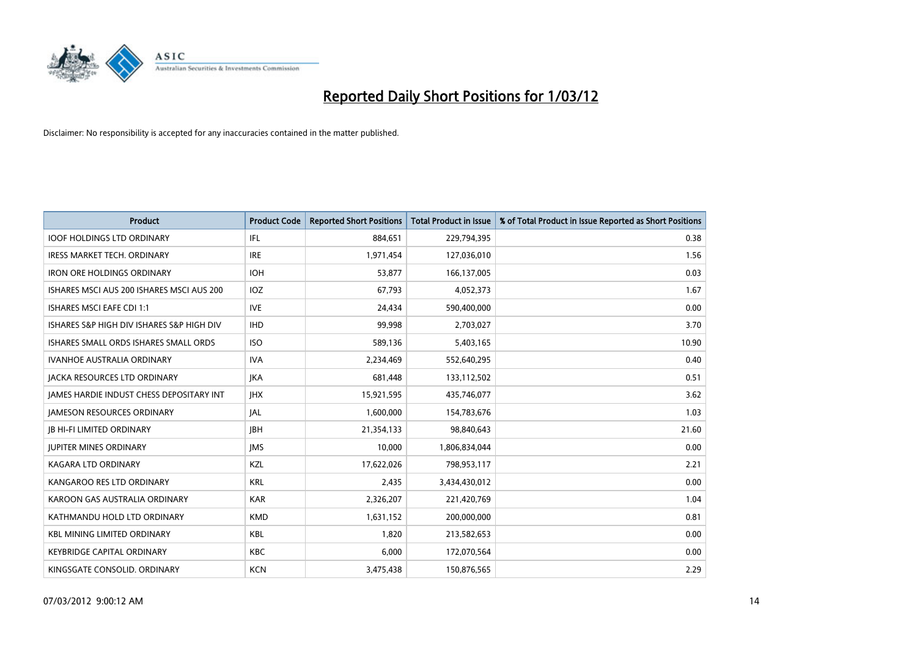

| <b>Product</b>                            | <b>Product Code</b> | <b>Reported Short Positions</b> | <b>Total Product in Issue</b> | % of Total Product in Issue Reported as Short Positions |
|-------------------------------------------|---------------------|---------------------------------|-------------------------------|---------------------------------------------------------|
| <b>IOOF HOLDINGS LTD ORDINARY</b>         | IFL                 | 884,651                         | 229,794,395                   | 0.38                                                    |
| IRESS MARKET TECH. ORDINARY               | <b>IRE</b>          | 1,971,454                       | 127,036,010                   | 1.56                                                    |
| <b>IRON ORE HOLDINGS ORDINARY</b>         | <b>IOH</b>          | 53,877                          | 166,137,005                   | 0.03                                                    |
| ISHARES MSCI AUS 200 ISHARES MSCI AUS 200 | IOZ.                | 67,793                          | 4,052,373                     | 1.67                                                    |
| <b>ISHARES MSCI EAFE CDI 1:1</b>          | <b>IVE</b>          | 24,434                          | 590,400,000                   | 0.00                                                    |
| ISHARES S&P HIGH DIV ISHARES S&P HIGH DIV | <b>IHD</b>          | 99,998                          | 2,703,027                     | 3.70                                                    |
| ISHARES SMALL ORDS ISHARES SMALL ORDS     | <b>ISO</b>          | 589,136                         | 5,403,165                     | 10.90                                                   |
| <b>IVANHOE AUSTRALIA ORDINARY</b>         | <b>IVA</b>          | 2,234,469                       | 552,640,295                   | 0.40                                                    |
| <b>JACKA RESOURCES LTD ORDINARY</b>       | <b>JKA</b>          | 681,448                         | 133,112,502                   | 0.51                                                    |
| JAMES HARDIE INDUST CHESS DEPOSITARY INT  | <b>IHX</b>          | 15,921,595                      | 435,746,077                   | 3.62                                                    |
| <b>JAMESON RESOURCES ORDINARY</b>         | JAL                 | 1,600,000                       | 154,783,676                   | 1.03                                                    |
| <b>JB HI-FI LIMITED ORDINARY</b>          | <b>JBH</b>          | 21,354,133                      | 98,840,643                    | 21.60                                                   |
| <b>JUPITER MINES ORDINARY</b>             | <b>IMS</b>          | 10,000                          | 1,806,834,044                 | 0.00                                                    |
| <b>KAGARA LTD ORDINARY</b>                | KZL                 | 17,622,026                      | 798,953,117                   | 2.21                                                    |
| KANGAROO RES LTD ORDINARY                 | <b>KRL</b>          | 2,435                           | 3,434,430,012                 | 0.00                                                    |
| KAROON GAS AUSTRALIA ORDINARY             | <b>KAR</b>          | 2,326,207                       | 221,420,769                   | 1.04                                                    |
| KATHMANDU HOLD LTD ORDINARY               | <b>KMD</b>          | 1,631,152                       | 200,000,000                   | 0.81                                                    |
| <b>KBL MINING LIMITED ORDINARY</b>        | <b>KBL</b>          | 1,820                           | 213,582,653                   | 0.00                                                    |
| <b>KEYBRIDGE CAPITAL ORDINARY</b>         | <b>KBC</b>          | 6,000                           | 172,070,564                   | 0.00                                                    |
| KINGSGATE CONSOLID. ORDINARY              | <b>KCN</b>          | 3,475,438                       | 150,876,565                   | 2.29                                                    |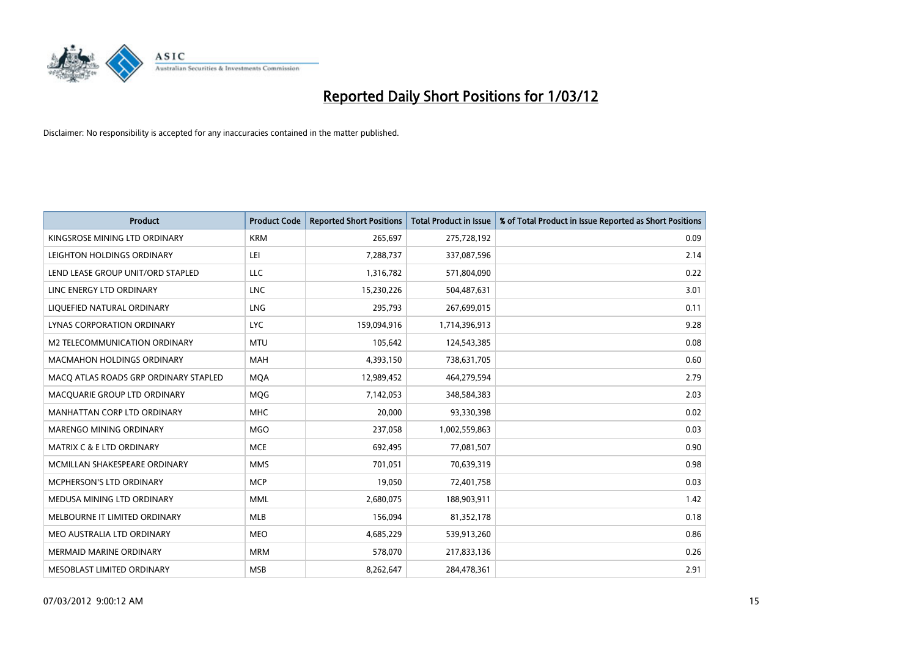

| <b>Product</b>                        | <b>Product Code</b> | <b>Reported Short Positions</b> | <b>Total Product in Issue</b> | % of Total Product in Issue Reported as Short Positions |
|---------------------------------------|---------------------|---------------------------------|-------------------------------|---------------------------------------------------------|
| KINGSROSE MINING LTD ORDINARY         | <b>KRM</b>          | 265,697                         | 275,728,192                   | 0.09                                                    |
| LEIGHTON HOLDINGS ORDINARY            | LEI                 | 7,288,737                       | 337,087,596                   | 2.14                                                    |
| LEND LEASE GROUP UNIT/ORD STAPLED     | <b>LLC</b>          | 1,316,782                       | 571,804,090                   | 0.22                                                    |
| LINC ENERGY LTD ORDINARY              | <b>LNC</b>          | 15,230,226                      | 504,487,631                   | 3.01                                                    |
| LIQUEFIED NATURAL ORDINARY            | LNG                 | 295,793                         | 267,699,015                   | 0.11                                                    |
| LYNAS CORPORATION ORDINARY            | <b>LYC</b>          | 159,094,916                     | 1,714,396,913                 | 9.28                                                    |
| M2 TELECOMMUNICATION ORDINARY         | <b>MTU</b>          | 105,642                         | 124,543,385                   | 0.08                                                    |
| MACMAHON HOLDINGS ORDINARY            | MAH                 | 4,393,150                       | 738,631,705                   | 0.60                                                    |
| MACO ATLAS ROADS GRP ORDINARY STAPLED | <b>MOA</b>          | 12,989,452                      | 464,279,594                   | 2.79                                                    |
| MACQUARIE GROUP LTD ORDINARY          | <b>MOG</b>          | 7,142,053                       | 348,584,383                   | 2.03                                                    |
| MANHATTAN CORP LTD ORDINARY           | <b>MHC</b>          | 20,000                          | 93,330,398                    | 0.02                                                    |
| MARENGO MINING ORDINARY               | <b>MGO</b>          | 237,058                         | 1,002,559,863                 | 0.03                                                    |
| <b>MATRIX C &amp; E LTD ORDINARY</b>  | <b>MCE</b>          | 692,495                         | 77,081,507                    | 0.90                                                    |
| MCMILLAN SHAKESPEARE ORDINARY         | <b>MMS</b>          | 701,051                         | 70,639,319                    | 0.98                                                    |
| <b>MCPHERSON'S LTD ORDINARY</b>       | <b>MCP</b>          | 19,050                          | 72,401,758                    | 0.03                                                    |
| MEDUSA MINING LTD ORDINARY            | <b>MML</b>          | 2,680,075                       | 188,903,911                   | 1.42                                                    |
| MELBOURNE IT LIMITED ORDINARY         | MLB                 | 156,094                         | 81,352,178                    | 0.18                                                    |
| MEO AUSTRALIA LTD ORDINARY            | <b>MEO</b>          | 4,685,229                       | 539,913,260                   | 0.86                                                    |
| <b>MERMAID MARINE ORDINARY</b>        | <b>MRM</b>          | 578,070                         | 217,833,136                   | 0.26                                                    |
| MESOBLAST LIMITED ORDINARY            | <b>MSB</b>          | 8,262,647                       | 284,478,361                   | 2.91                                                    |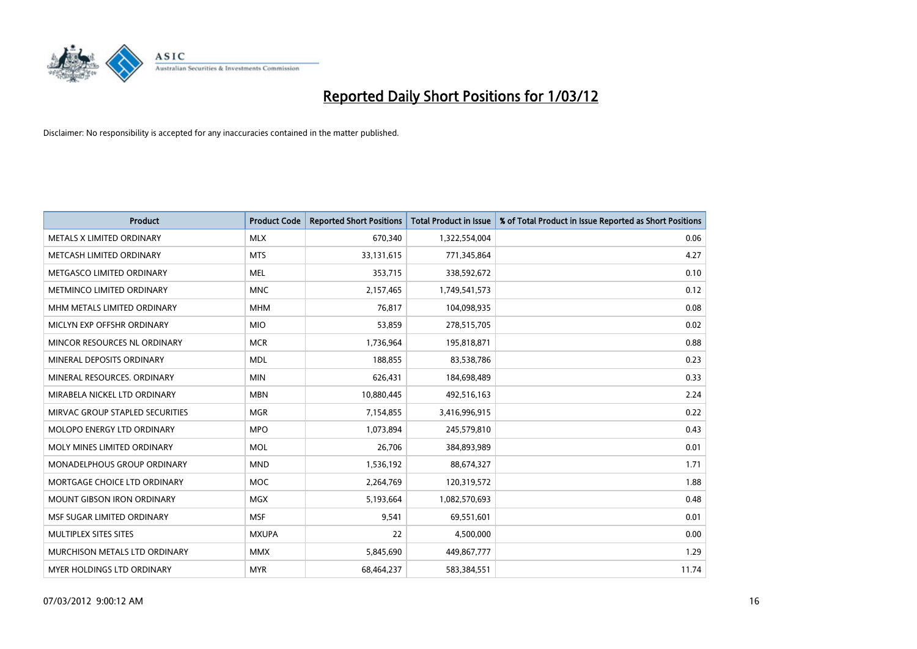

| <b>Product</b>                    | <b>Product Code</b> | <b>Reported Short Positions</b> | <b>Total Product in Issue</b> | % of Total Product in Issue Reported as Short Positions |
|-----------------------------------|---------------------|---------------------------------|-------------------------------|---------------------------------------------------------|
| METALS X LIMITED ORDINARY         | <b>MLX</b>          | 670,340                         | 1,322,554,004                 | 0.06                                                    |
| METCASH LIMITED ORDINARY          | <b>MTS</b>          | 33,131,615                      | 771,345,864                   | 4.27                                                    |
| METGASCO LIMITED ORDINARY         | <b>MEL</b>          | 353,715                         | 338,592,672                   | 0.10                                                    |
| METMINCO LIMITED ORDINARY         | <b>MNC</b>          | 2,157,465                       | 1,749,541,573                 | 0.12                                                    |
| MHM METALS LIMITED ORDINARY       | <b>MHM</b>          | 76,817                          | 104,098,935                   | 0.08                                                    |
| MICLYN EXP OFFSHR ORDINARY        | <b>MIO</b>          | 53,859                          | 278,515,705                   | 0.02                                                    |
| MINCOR RESOURCES NL ORDINARY      | <b>MCR</b>          | 1,736,964                       | 195,818,871                   | 0.88                                                    |
| MINERAL DEPOSITS ORDINARY         | <b>MDL</b>          | 188,855                         | 83,538,786                    | 0.23                                                    |
| MINERAL RESOURCES, ORDINARY       | <b>MIN</b>          | 626,431                         | 184,698,489                   | 0.33                                                    |
| MIRABELA NICKEL LTD ORDINARY      | <b>MBN</b>          | 10,880,445                      | 492,516,163                   | 2.24                                                    |
| MIRVAC GROUP STAPLED SECURITIES   | <b>MGR</b>          | 7,154,855                       | 3,416,996,915                 | 0.22                                                    |
| <b>MOLOPO ENERGY LTD ORDINARY</b> | <b>MPO</b>          | 1,073,894                       | 245,579,810                   | 0.43                                                    |
| MOLY MINES LIMITED ORDINARY       | <b>MOL</b>          | 26,706                          | 384,893,989                   | 0.01                                                    |
| MONADELPHOUS GROUP ORDINARY       | <b>MND</b>          | 1,536,192                       | 88,674,327                    | 1.71                                                    |
| MORTGAGE CHOICE LTD ORDINARY      | MOC                 | 2,264,769                       | 120,319,572                   | 1.88                                                    |
| <b>MOUNT GIBSON IRON ORDINARY</b> | MGX                 | 5,193,664                       | 1,082,570,693                 | 0.48                                                    |
| MSF SUGAR LIMITED ORDINARY        | <b>MSF</b>          | 9,541                           | 69,551,601                    | 0.01                                                    |
| MULTIPLEX SITES SITES             | <b>MXUPA</b>        | 22                              | 4,500,000                     | 0.00                                                    |
| MURCHISON METALS LTD ORDINARY     | <b>MMX</b>          | 5,845,690                       | 449,867,777                   | 1.29                                                    |
| MYER HOLDINGS LTD ORDINARY        | <b>MYR</b>          | 68,464,237                      | 583,384,551                   | 11.74                                                   |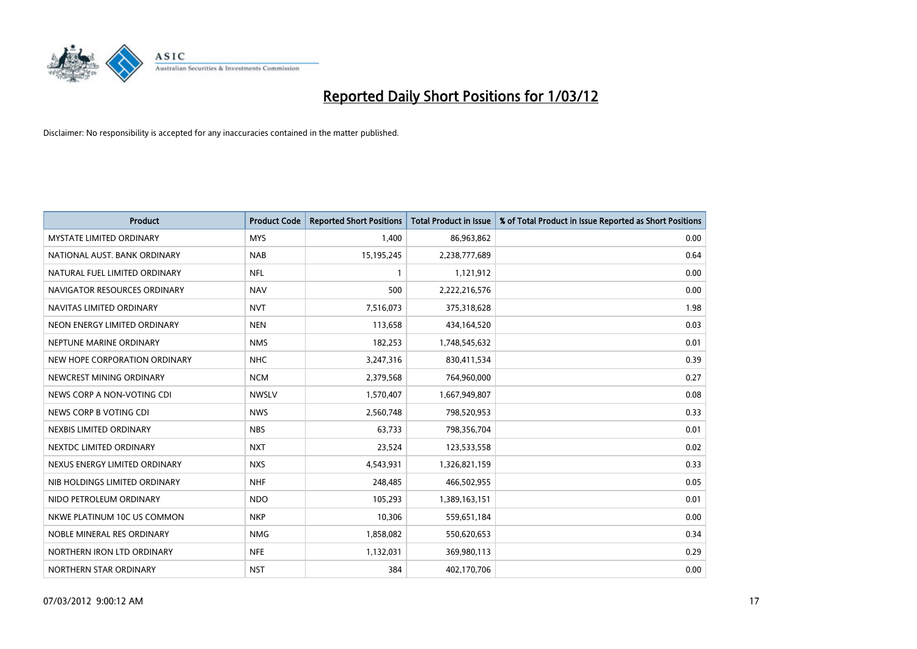

| <b>Product</b>                  | <b>Product Code</b> | <b>Reported Short Positions</b> | <b>Total Product in Issue</b> | % of Total Product in Issue Reported as Short Positions |
|---------------------------------|---------------------|---------------------------------|-------------------------------|---------------------------------------------------------|
| <b>MYSTATE LIMITED ORDINARY</b> | <b>MYS</b>          | 1,400                           | 86,963,862                    | 0.00                                                    |
| NATIONAL AUST. BANK ORDINARY    | <b>NAB</b>          | 15,195,245                      | 2,238,777,689                 | 0.64                                                    |
| NATURAL FUEL LIMITED ORDINARY   | NFL                 |                                 | 1,121,912                     | 0.00                                                    |
| NAVIGATOR RESOURCES ORDINARY    | <b>NAV</b>          | 500                             | 2,222,216,576                 | 0.00                                                    |
| NAVITAS LIMITED ORDINARY        | <b>NVT</b>          | 7,516,073                       | 375,318,628                   | 1.98                                                    |
| NEON ENERGY LIMITED ORDINARY    | <b>NEN</b>          | 113,658                         | 434,164,520                   | 0.03                                                    |
| NEPTUNE MARINE ORDINARY         | <b>NMS</b>          | 182,253                         | 1,748,545,632                 | 0.01                                                    |
| NEW HOPE CORPORATION ORDINARY   | <b>NHC</b>          | 3,247,316                       | 830,411,534                   | 0.39                                                    |
| NEWCREST MINING ORDINARY        | <b>NCM</b>          | 2,379,568                       | 764,960,000                   | 0.27                                                    |
| NEWS CORP A NON-VOTING CDI      | <b>NWSLV</b>        | 1,570,407                       | 1,667,949,807                 | 0.08                                                    |
| NEWS CORP B VOTING CDI          | <b>NWS</b>          | 2,560,748                       | 798,520,953                   | 0.33                                                    |
| NEXBIS LIMITED ORDINARY         | <b>NBS</b>          | 63,733                          | 798,356,704                   | 0.01                                                    |
| NEXTDC LIMITED ORDINARY         | <b>NXT</b>          | 23,524                          | 123,533,558                   | 0.02                                                    |
| NEXUS ENERGY LIMITED ORDINARY   | <b>NXS</b>          | 4,543,931                       | 1,326,821,159                 | 0.33                                                    |
| NIB HOLDINGS LIMITED ORDINARY   | <b>NHF</b>          | 248,485                         | 466,502,955                   | 0.05                                                    |
| NIDO PETROLEUM ORDINARY         | <b>NDO</b>          | 105,293                         | 1,389,163,151                 | 0.01                                                    |
| NKWE PLATINUM 10C US COMMON     | <b>NKP</b>          | 10,306                          | 559,651,184                   | 0.00                                                    |
| NOBLE MINERAL RES ORDINARY      | <b>NMG</b>          | 1,858,082                       | 550,620,653                   | 0.34                                                    |
| NORTHERN IRON LTD ORDINARY      | <b>NFE</b>          | 1,132,031                       | 369,980,113                   | 0.29                                                    |
| NORTHERN STAR ORDINARY          | <b>NST</b>          | 384                             | 402,170,706                   | 0.00                                                    |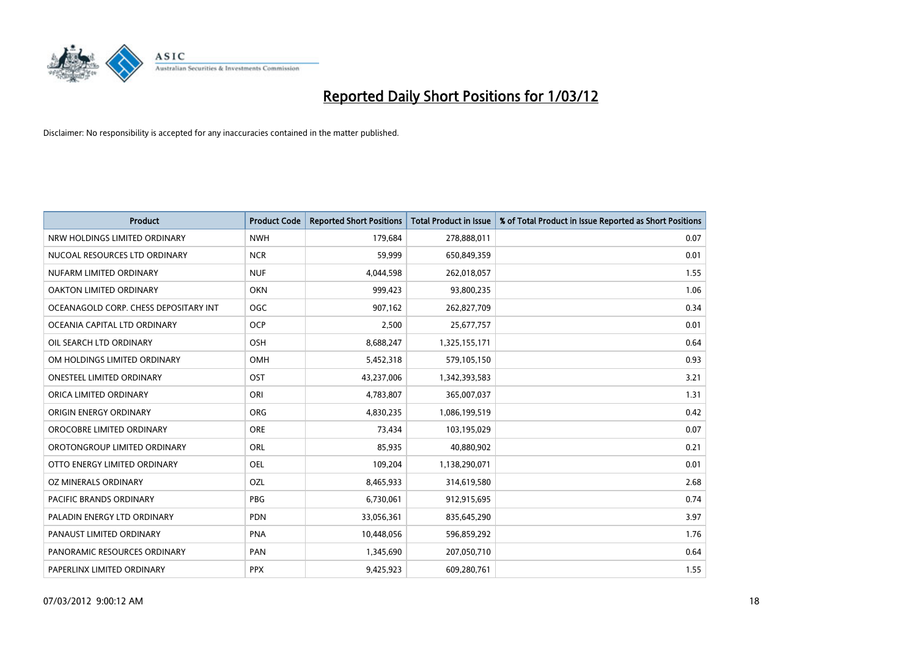

| <b>Product</b>                        | <b>Product Code</b> | <b>Reported Short Positions</b> | <b>Total Product in Issue</b> | % of Total Product in Issue Reported as Short Positions |
|---------------------------------------|---------------------|---------------------------------|-------------------------------|---------------------------------------------------------|
| NRW HOLDINGS LIMITED ORDINARY         | <b>NWH</b>          | 179,684                         | 278,888,011                   | 0.07                                                    |
| NUCOAL RESOURCES LTD ORDINARY         | <b>NCR</b>          | 59,999                          | 650,849,359                   | 0.01                                                    |
| NUFARM LIMITED ORDINARY               | <b>NUF</b>          | 4,044,598                       | 262,018,057                   | 1.55                                                    |
| OAKTON LIMITED ORDINARY               | <b>OKN</b>          | 999,423                         | 93,800,235                    | 1.06                                                    |
| OCEANAGOLD CORP. CHESS DEPOSITARY INT | <b>OGC</b>          | 907,162                         | 262,827,709                   | 0.34                                                    |
| OCEANIA CAPITAL LTD ORDINARY          | <b>OCP</b>          | 2,500                           | 25,677,757                    | 0.01                                                    |
| OIL SEARCH LTD ORDINARY               | OSH                 | 8,688,247                       | 1,325,155,171                 | 0.64                                                    |
| OM HOLDINGS LIMITED ORDINARY          | OMH                 | 5,452,318                       | 579,105,150                   | 0.93                                                    |
| <b>ONESTEEL LIMITED ORDINARY</b>      | OST                 | 43,237,006                      | 1,342,393,583                 | 3.21                                                    |
| ORICA LIMITED ORDINARY                | ORI                 | 4,783,807                       | 365,007,037                   | 1.31                                                    |
| ORIGIN ENERGY ORDINARY                | <b>ORG</b>          | 4,830,235                       | 1,086,199,519                 | 0.42                                                    |
| OROCOBRE LIMITED ORDINARY             | <b>ORE</b>          | 73,434                          | 103,195,029                   | 0.07                                                    |
| OROTONGROUP LIMITED ORDINARY          | ORL                 | 85,935                          | 40,880,902                    | 0.21                                                    |
| OTTO ENERGY LIMITED ORDINARY          | <b>OEL</b>          | 109,204                         | 1,138,290,071                 | 0.01                                                    |
| <b>OZ MINERALS ORDINARY</b>           | <b>OZL</b>          | 8,465,933                       | 314,619,580                   | 2.68                                                    |
| PACIFIC BRANDS ORDINARY               | <b>PBG</b>          | 6,730,061                       | 912,915,695                   | 0.74                                                    |
| PALADIN ENERGY LTD ORDINARY           | <b>PDN</b>          | 33,056,361                      | 835,645,290                   | 3.97                                                    |
| PANAUST LIMITED ORDINARY              | <b>PNA</b>          | 10,448,056                      | 596,859,292                   | 1.76                                                    |
| PANORAMIC RESOURCES ORDINARY          | PAN                 | 1,345,690                       | 207,050,710                   | 0.64                                                    |
| PAPERLINX LIMITED ORDINARY            | <b>PPX</b>          | 9,425,923                       | 609,280,761                   | 1.55                                                    |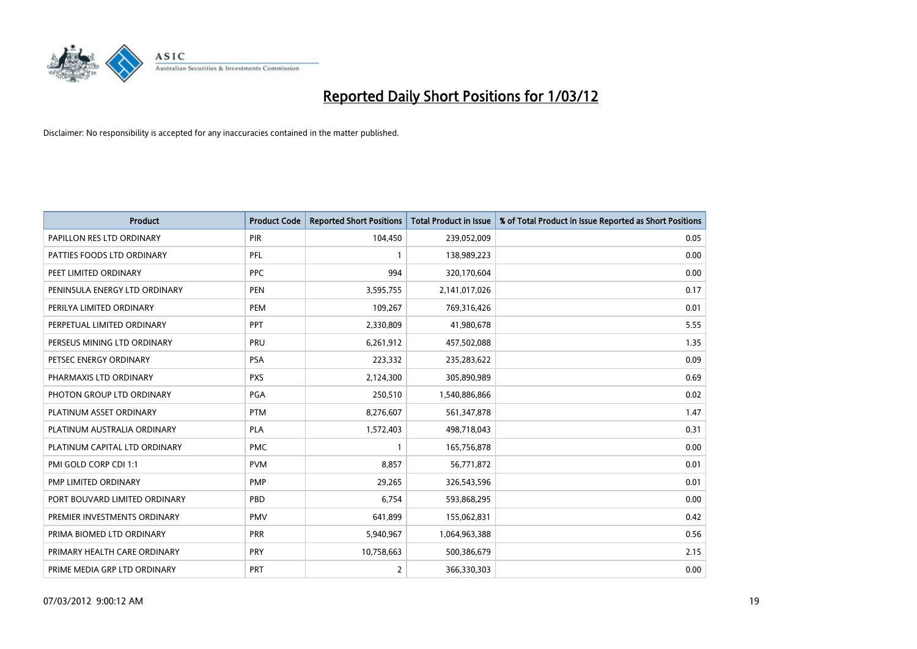

| <b>Product</b>                | <b>Product Code</b> | <b>Reported Short Positions</b> | Total Product in Issue | % of Total Product in Issue Reported as Short Positions |
|-------------------------------|---------------------|---------------------------------|------------------------|---------------------------------------------------------|
| PAPILLON RES LTD ORDINARY     | PIR                 | 104,450                         | 239,052,009            | 0.05                                                    |
| PATTIES FOODS LTD ORDINARY    | PFL                 |                                 | 138,989,223            | 0.00                                                    |
| PEET LIMITED ORDINARY         | <b>PPC</b>          | 994                             | 320,170,604            | 0.00                                                    |
| PENINSULA ENERGY LTD ORDINARY | <b>PEN</b>          | 3,595,755                       | 2,141,017,026          | 0.17                                                    |
| PERILYA LIMITED ORDINARY      | PEM                 | 109,267                         | 769,316,426            | 0.01                                                    |
| PERPETUAL LIMITED ORDINARY    | PPT                 | 2,330,809                       | 41,980,678             | 5.55                                                    |
| PERSEUS MINING LTD ORDINARY   | PRU                 | 6,261,912                       | 457,502,088            | 1.35                                                    |
| PETSEC ENERGY ORDINARY        | <b>PSA</b>          | 223,332                         | 235,283,622            | 0.09                                                    |
| PHARMAXIS LTD ORDINARY        | <b>PXS</b>          | 2,124,300                       | 305,890,989            | 0.69                                                    |
| PHOTON GROUP LTD ORDINARY     | PGA                 | 250,510                         | 1,540,886,866          | 0.02                                                    |
| PLATINUM ASSET ORDINARY       | <b>PTM</b>          | 8,276,607                       | 561,347,878            | 1.47                                                    |
| PLATINUM AUSTRALIA ORDINARY   | <b>PLA</b>          | 1,572,403                       | 498,718,043            | 0.31                                                    |
| PLATINUM CAPITAL LTD ORDINARY | <b>PMC</b>          |                                 | 165,756,878            | 0.00                                                    |
| PMI GOLD CORP CDI 1:1         | <b>PVM</b>          | 8,857                           | 56,771,872             | 0.01                                                    |
| PMP LIMITED ORDINARY          | <b>PMP</b>          | 29,265                          | 326,543,596            | 0.01                                                    |
| PORT BOUVARD LIMITED ORDINARY | PBD                 | 6,754                           | 593,868,295            | 0.00                                                    |
| PREMIER INVESTMENTS ORDINARY  | <b>PMV</b>          | 641,899                         | 155,062,831            | 0.42                                                    |
| PRIMA BIOMED LTD ORDINARY     | <b>PRR</b>          | 5,940,967                       | 1,064,963,388          | 0.56                                                    |
| PRIMARY HEALTH CARE ORDINARY  | <b>PRY</b>          | 10,758,663                      | 500,386,679            | 2.15                                                    |
| PRIME MEDIA GRP LTD ORDINARY  | <b>PRT</b>          | $\overline{2}$                  | 366,330,303            | 0.00                                                    |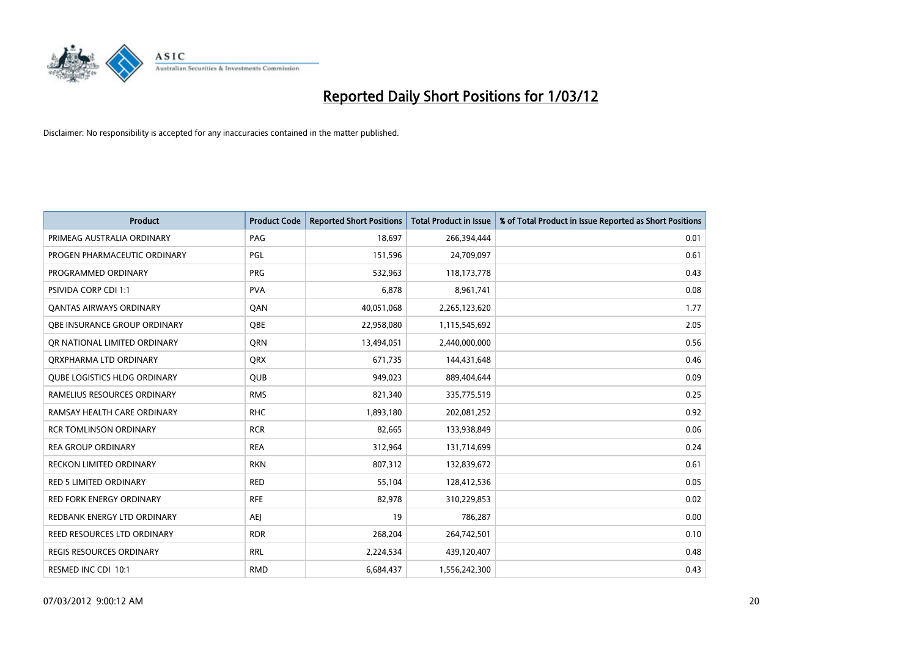

| <b>Product</b>                      | <b>Product Code</b> | <b>Reported Short Positions</b> | <b>Total Product in Issue</b> | % of Total Product in Issue Reported as Short Positions |
|-------------------------------------|---------------------|---------------------------------|-------------------------------|---------------------------------------------------------|
| PRIMEAG AUSTRALIA ORDINARY          | PAG                 | 18,697                          | 266,394,444                   | 0.01                                                    |
| PROGEN PHARMACEUTIC ORDINARY        | PGL                 | 151,596                         | 24,709,097                    | 0.61                                                    |
| PROGRAMMED ORDINARY                 | <b>PRG</b>          | 532,963                         | 118,173,778                   | 0.43                                                    |
| PSIVIDA CORP CDI 1:1                | <b>PVA</b>          | 6,878                           | 8,961,741                     | 0.08                                                    |
| OANTAS AIRWAYS ORDINARY             | QAN                 | 40,051,068                      | 2,265,123,620                 | 1.77                                                    |
| OBE INSURANCE GROUP ORDINARY        | <b>OBE</b>          | 22,958,080                      | 1,115,545,692                 | 2.05                                                    |
| OR NATIONAL LIMITED ORDINARY        | <b>ORN</b>          | 13,494,051                      | 2,440,000,000                 | 0.56                                                    |
| ORXPHARMA LTD ORDINARY              | <b>QRX</b>          | 671,735                         | 144,431,648                   | 0.46                                                    |
| <b>OUBE LOGISTICS HLDG ORDINARY</b> | QUB                 | 949,023                         | 889,404,644                   | 0.09                                                    |
| RAMELIUS RESOURCES ORDINARY         | <b>RMS</b>          | 821,340                         | 335,775,519                   | 0.25                                                    |
| RAMSAY HEALTH CARE ORDINARY         | <b>RHC</b>          | 1,893,180                       | 202,081,252                   | 0.92                                                    |
| <b>RCR TOMLINSON ORDINARY</b>       | <b>RCR</b>          | 82,665                          | 133,938,849                   | 0.06                                                    |
| <b>REA GROUP ORDINARY</b>           | <b>REA</b>          | 312,964                         | 131,714,699                   | 0.24                                                    |
| <b>RECKON LIMITED ORDINARY</b>      | <b>RKN</b>          | 807,312                         | 132,839,672                   | 0.61                                                    |
| <b>RED 5 LIMITED ORDINARY</b>       | <b>RED</b>          | 55,104                          | 128,412,536                   | 0.05                                                    |
| RED FORK ENERGY ORDINARY            | <b>RFE</b>          | 82,978                          | 310,229,853                   | 0.02                                                    |
| REDBANK ENERGY LTD ORDINARY         | <b>AEJ</b>          | 19                              | 786,287                       | 0.00                                                    |
| REED RESOURCES LTD ORDINARY         | <b>RDR</b>          | 268,204                         | 264,742,501                   | 0.10                                                    |
| <b>REGIS RESOURCES ORDINARY</b>     | <b>RRL</b>          | 2,224,534                       | 439,120,407                   | 0.48                                                    |
| RESMED INC CDI 10:1                 | <b>RMD</b>          | 6,684,437                       | 1,556,242,300                 | 0.43                                                    |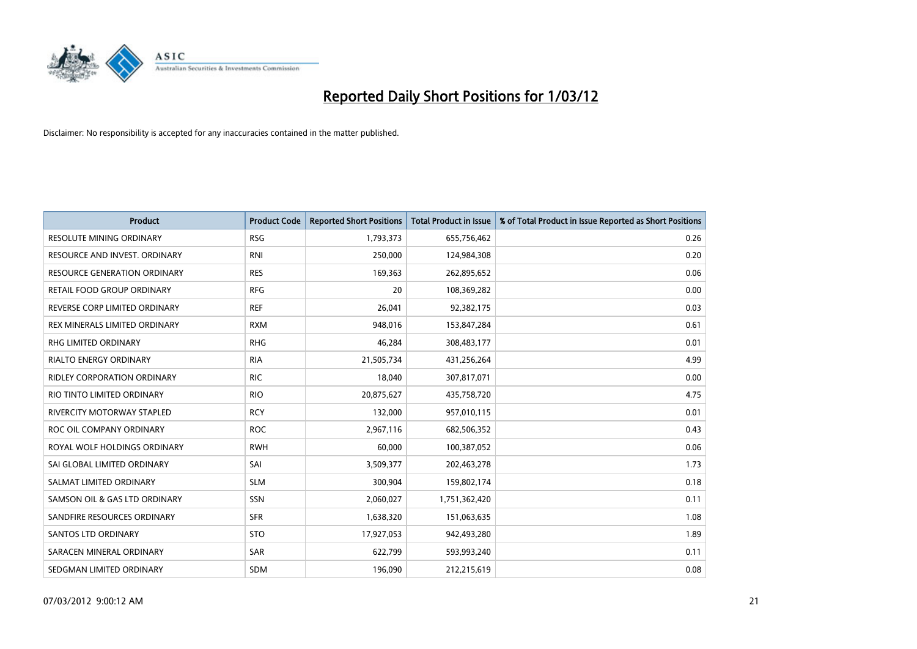

| <b>Product</b>                      | <b>Product Code</b> | <b>Reported Short Positions</b> | <b>Total Product in Issue</b> | % of Total Product in Issue Reported as Short Positions |
|-------------------------------------|---------------------|---------------------------------|-------------------------------|---------------------------------------------------------|
| <b>RESOLUTE MINING ORDINARY</b>     | <b>RSG</b>          | 1,793,373                       | 655,756,462                   | 0.26                                                    |
| RESOURCE AND INVEST. ORDINARY       | RNI                 | 250,000                         | 124,984,308                   | 0.20                                                    |
| <b>RESOURCE GENERATION ORDINARY</b> | <b>RES</b>          | 169,363                         | 262,895,652                   | 0.06                                                    |
| RETAIL FOOD GROUP ORDINARY          | <b>RFG</b>          | 20                              | 108,369,282                   | 0.00                                                    |
| REVERSE CORP LIMITED ORDINARY       | <b>REF</b>          | 26,041                          | 92,382,175                    | 0.03                                                    |
| REX MINERALS LIMITED ORDINARY       | <b>RXM</b>          | 948,016                         | 153,847,284                   | 0.61                                                    |
| RHG LIMITED ORDINARY                | <b>RHG</b>          | 46,284                          | 308,483,177                   | 0.01                                                    |
| RIALTO ENERGY ORDINARY              | <b>RIA</b>          | 21,505,734                      | 431,256,264                   | 4.99                                                    |
| <b>RIDLEY CORPORATION ORDINARY</b>  | <b>RIC</b>          | 18.040                          | 307,817,071                   | 0.00                                                    |
| RIO TINTO LIMITED ORDINARY          | <b>RIO</b>          | 20,875,627                      | 435,758,720                   | 4.75                                                    |
| RIVERCITY MOTORWAY STAPLED          | <b>RCY</b>          | 132,000                         | 957,010,115                   | 0.01                                                    |
| ROC OIL COMPANY ORDINARY            | <b>ROC</b>          | 2,967,116                       | 682,506,352                   | 0.43                                                    |
| ROYAL WOLF HOLDINGS ORDINARY        | <b>RWH</b>          | 60,000                          | 100,387,052                   | 0.06                                                    |
| SAI GLOBAL LIMITED ORDINARY         | SAI                 | 3,509,377                       | 202,463,278                   | 1.73                                                    |
| SALMAT LIMITED ORDINARY             | <b>SLM</b>          | 300,904                         | 159,802,174                   | 0.18                                                    |
| SAMSON OIL & GAS LTD ORDINARY       | SSN                 | 2,060,027                       | 1,751,362,420                 | 0.11                                                    |
| SANDFIRE RESOURCES ORDINARY         | <b>SFR</b>          | 1,638,320                       | 151,063,635                   | 1.08                                                    |
| SANTOS LTD ORDINARY                 | <b>STO</b>          | 17,927,053                      | 942,493,280                   | 1.89                                                    |
| SARACEN MINERAL ORDINARY            | SAR                 | 622,799                         | 593,993,240                   | 0.11                                                    |
| SEDGMAN LIMITED ORDINARY            | <b>SDM</b>          | 196,090                         | 212,215,619                   | 0.08                                                    |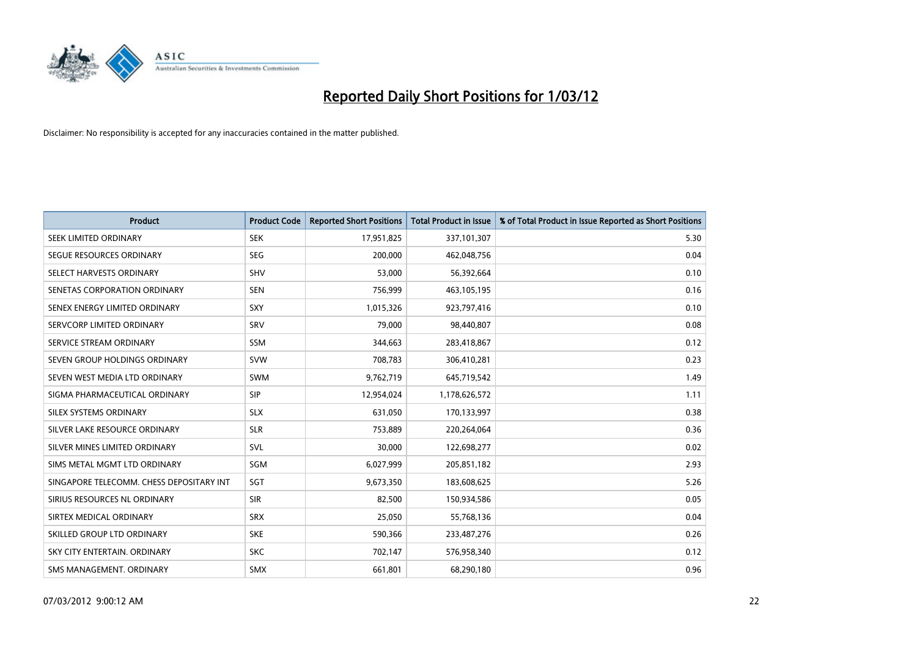

| <b>Product</b>                           | <b>Product Code</b> | <b>Reported Short Positions</b> | <b>Total Product in Issue</b> | % of Total Product in Issue Reported as Short Positions |
|------------------------------------------|---------------------|---------------------------------|-------------------------------|---------------------------------------------------------|
| SEEK LIMITED ORDINARY                    | <b>SEK</b>          | 17,951,825                      | 337,101,307                   | 5.30                                                    |
| SEGUE RESOURCES ORDINARY                 | <b>SEG</b>          | 200,000                         | 462,048,756                   | 0.04                                                    |
| SELECT HARVESTS ORDINARY                 | <b>SHV</b>          | 53,000                          | 56,392,664                    | 0.10                                                    |
| SENETAS CORPORATION ORDINARY             | <b>SEN</b>          | 756,999                         | 463,105,195                   | 0.16                                                    |
| SENEX ENERGY LIMITED ORDINARY            | <b>SXY</b>          | 1,015,326                       | 923,797,416                   | 0.10                                                    |
| SERVCORP LIMITED ORDINARY                | SRV                 | 79,000                          | 98,440,807                    | 0.08                                                    |
| SERVICE STREAM ORDINARY                  | SSM                 | 344,663                         | 283,418,867                   | 0.12                                                    |
| SEVEN GROUP HOLDINGS ORDINARY            | <b>SVW</b>          | 708,783                         | 306,410,281                   | 0.23                                                    |
| SEVEN WEST MEDIA LTD ORDINARY            | <b>SWM</b>          | 9,762,719                       | 645,719,542                   | 1.49                                                    |
| SIGMA PHARMACEUTICAL ORDINARY            | <b>SIP</b>          | 12,954,024                      | 1,178,626,572                 | 1.11                                                    |
| SILEX SYSTEMS ORDINARY                   | <b>SLX</b>          | 631,050                         | 170,133,997                   | 0.38                                                    |
| SILVER LAKE RESOURCE ORDINARY            | <b>SLR</b>          | 753,889                         | 220,264,064                   | 0.36                                                    |
| SILVER MINES LIMITED ORDINARY            | SVL                 | 30,000                          | 122,698,277                   | 0.02                                                    |
| SIMS METAL MGMT LTD ORDINARY             | SGM                 | 6,027,999                       | 205,851,182                   | 2.93                                                    |
| SINGAPORE TELECOMM. CHESS DEPOSITARY INT | SGT                 | 9,673,350                       | 183,608,625                   | 5.26                                                    |
| SIRIUS RESOURCES NL ORDINARY             | <b>SIR</b>          | 82,500                          | 150,934,586                   | 0.05                                                    |
| SIRTEX MEDICAL ORDINARY                  | <b>SRX</b>          | 25,050                          | 55,768,136                    | 0.04                                                    |
| SKILLED GROUP LTD ORDINARY               | <b>SKE</b>          | 590,366                         | 233,487,276                   | 0.26                                                    |
| SKY CITY ENTERTAIN, ORDINARY             | <b>SKC</b>          | 702,147                         | 576,958,340                   | 0.12                                                    |
| SMS MANAGEMENT. ORDINARY                 | <b>SMX</b>          | 661,801                         | 68,290,180                    | 0.96                                                    |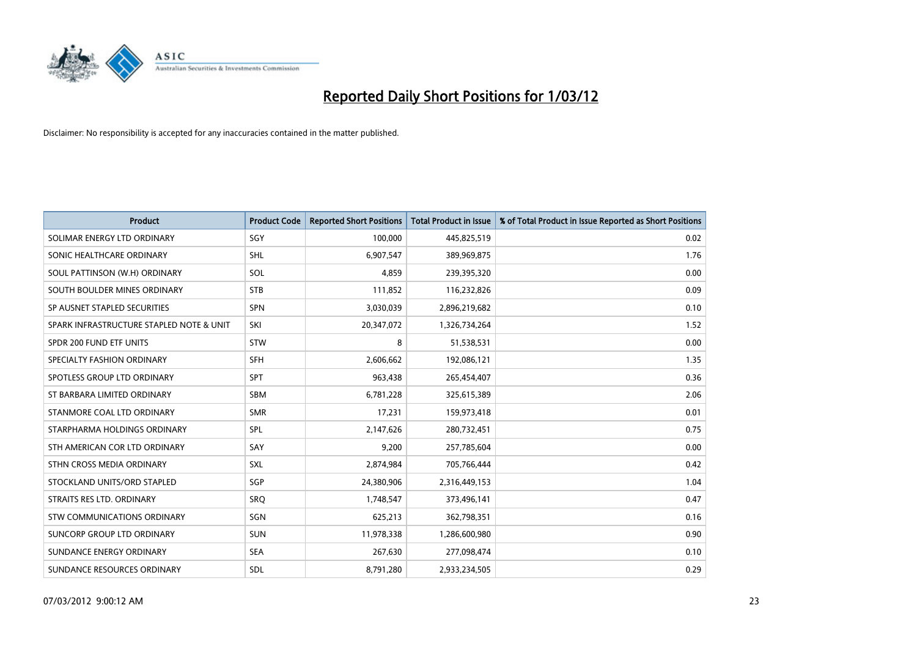

| <b>Product</b>                           | <b>Product Code</b> | <b>Reported Short Positions</b> | <b>Total Product in Issue</b> | % of Total Product in Issue Reported as Short Positions |
|------------------------------------------|---------------------|---------------------------------|-------------------------------|---------------------------------------------------------|
| SOLIMAR ENERGY LTD ORDINARY              | SGY                 | 100,000                         | 445,825,519                   | 0.02                                                    |
| SONIC HEALTHCARE ORDINARY                | <b>SHL</b>          | 6,907,547                       | 389,969,875                   | 1.76                                                    |
| SOUL PATTINSON (W.H) ORDINARY            | SOL                 | 4,859                           | 239,395,320                   | 0.00                                                    |
| SOUTH BOULDER MINES ORDINARY             | <b>STB</b>          | 111,852                         | 116,232,826                   | 0.09                                                    |
| SP AUSNET STAPLED SECURITIES             | SPN                 | 3,030,039                       | 2,896,219,682                 | 0.10                                                    |
| SPARK INFRASTRUCTURE STAPLED NOTE & UNIT | SKI                 | 20,347,072                      | 1,326,734,264                 | 1.52                                                    |
| SPDR 200 FUND ETF UNITS                  | <b>STW</b>          | 8                               | 51,538,531                    | 0.00                                                    |
| SPECIALTY FASHION ORDINARY               | <b>SFH</b>          | 2,606,662                       | 192,086,121                   | 1.35                                                    |
| SPOTLESS GROUP LTD ORDINARY              | <b>SPT</b>          | 963,438                         | 265,454,407                   | 0.36                                                    |
| ST BARBARA LIMITED ORDINARY              | <b>SBM</b>          | 6,781,228                       | 325,615,389                   | 2.06                                                    |
| STANMORE COAL LTD ORDINARY               | <b>SMR</b>          | 17,231                          | 159,973,418                   | 0.01                                                    |
| STARPHARMA HOLDINGS ORDINARY             | SPL                 | 2,147,626                       | 280,732,451                   | 0.75                                                    |
| STH AMERICAN COR LTD ORDINARY            | SAY                 | 9,200                           | 257,785,604                   | 0.00                                                    |
| STHN CROSS MEDIA ORDINARY                | SXL                 | 2,874,984                       | 705,766,444                   | 0.42                                                    |
| STOCKLAND UNITS/ORD STAPLED              | SGP                 | 24,380,906                      | 2,316,449,153                 | 1.04                                                    |
| STRAITS RES LTD. ORDINARY                | SRO                 | 1,748,547                       | 373,496,141                   | 0.47                                                    |
| STW COMMUNICATIONS ORDINARY              | SGN                 | 625,213                         | 362,798,351                   | 0.16                                                    |
| SUNCORP GROUP LTD ORDINARY               | <b>SUN</b>          | 11,978,338                      | 1,286,600,980                 | 0.90                                                    |
| SUNDANCE ENERGY ORDINARY                 | <b>SEA</b>          | 267,630                         | 277,098,474                   | 0.10                                                    |
| SUNDANCE RESOURCES ORDINARY              | <b>SDL</b>          | 8,791,280                       | 2,933,234,505                 | 0.29                                                    |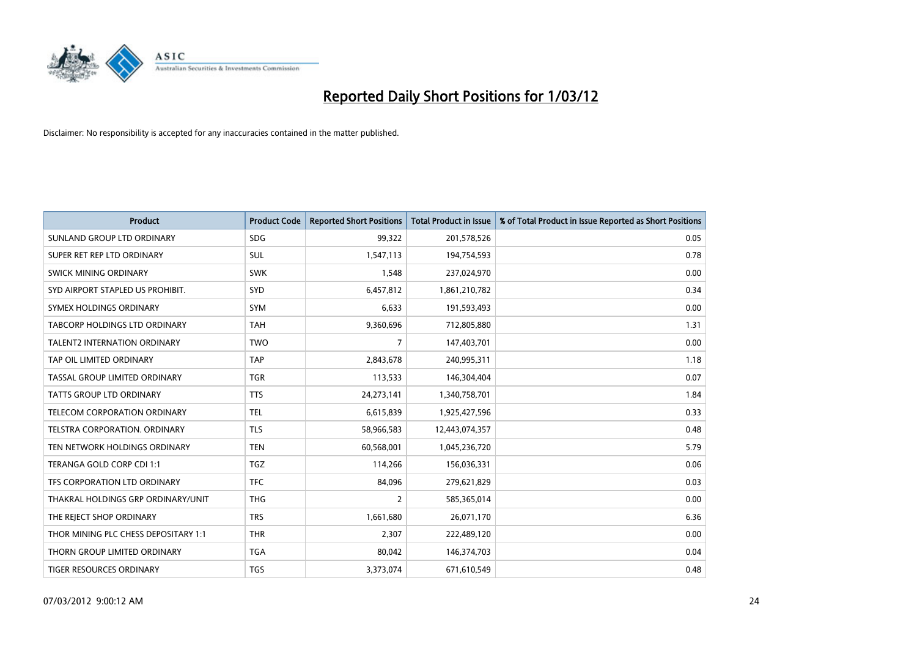

| <b>Product</b>                       | <b>Product Code</b> | <b>Reported Short Positions</b> | <b>Total Product in Issue</b> | % of Total Product in Issue Reported as Short Positions |
|--------------------------------------|---------------------|---------------------------------|-------------------------------|---------------------------------------------------------|
| SUNLAND GROUP LTD ORDINARY           | <b>SDG</b>          | 99,322                          | 201,578,526                   | 0.05                                                    |
| SUPER RET REP LTD ORDINARY           | <b>SUL</b>          | 1,547,113                       | 194,754,593                   | 0.78                                                    |
| <b>SWICK MINING ORDINARY</b>         | <b>SWK</b>          | 1,548                           | 237,024,970                   | 0.00                                                    |
| SYD AIRPORT STAPLED US PROHIBIT.     | <b>SYD</b>          | 6,457,812                       | 1,861,210,782                 | 0.34                                                    |
| SYMEX HOLDINGS ORDINARY              | <b>SYM</b>          | 6,633                           | 191,593,493                   | 0.00                                                    |
| TABCORP HOLDINGS LTD ORDINARY        | <b>TAH</b>          | 9,360,696                       | 712,805,880                   | 1.31                                                    |
| <b>TALENT2 INTERNATION ORDINARY</b>  | <b>TWO</b>          | 7                               | 147,403,701                   | 0.00                                                    |
| TAP OIL LIMITED ORDINARY             | <b>TAP</b>          | 2,843,678                       | 240,995,311                   | 1.18                                                    |
| TASSAL GROUP LIMITED ORDINARY        | <b>TGR</b>          | 113,533                         | 146,304,404                   | 0.07                                                    |
| <b>TATTS GROUP LTD ORDINARY</b>      | <b>TTS</b>          | 24,273,141                      | 1,340,758,701                 | 1.84                                                    |
| TELECOM CORPORATION ORDINARY         | <b>TEL</b>          | 6,615,839                       | 1,925,427,596                 | 0.33                                                    |
| <b>TELSTRA CORPORATION, ORDINARY</b> | <b>TLS</b>          | 58,966,583                      | 12,443,074,357                | 0.48                                                    |
| TEN NETWORK HOLDINGS ORDINARY        | <b>TEN</b>          | 60,568,001                      | 1,045,236,720                 | 5.79                                                    |
| TERANGA GOLD CORP CDI 1:1            | <b>TGZ</b>          | 114,266                         | 156,036,331                   | 0.06                                                    |
| TFS CORPORATION LTD ORDINARY         | <b>TFC</b>          | 84,096                          | 279,621,829                   | 0.03                                                    |
| THAKRAL HOLDINGS GRP ORDINARY/UNIT   | <b>THG</b>          | $\overline{2}$                  | 585,365,014                   | 0.00                                                    |
| THE REJECT SHOP ORDINARY             | <b>TRS</b>          | 1,661,680                       | 26,071,170                    | 6.36                                                    |
| THOR MINING PLC CHESS DEPOSITARY 1:1 | <b>THR</b>          | 2,307                           | 222,489,120                   | 0.00                                                    |
| THORN GROUP LIMITED ORDINARY         | <b>TGA</b>          | 80,042                          | 146,374,703                   | 0.04                                                    |
| TIGER RESOURCES ORDINARY             | <b>TGS</b>          | 3,373,074                       | 671,610,549                   | 0.48                                                    |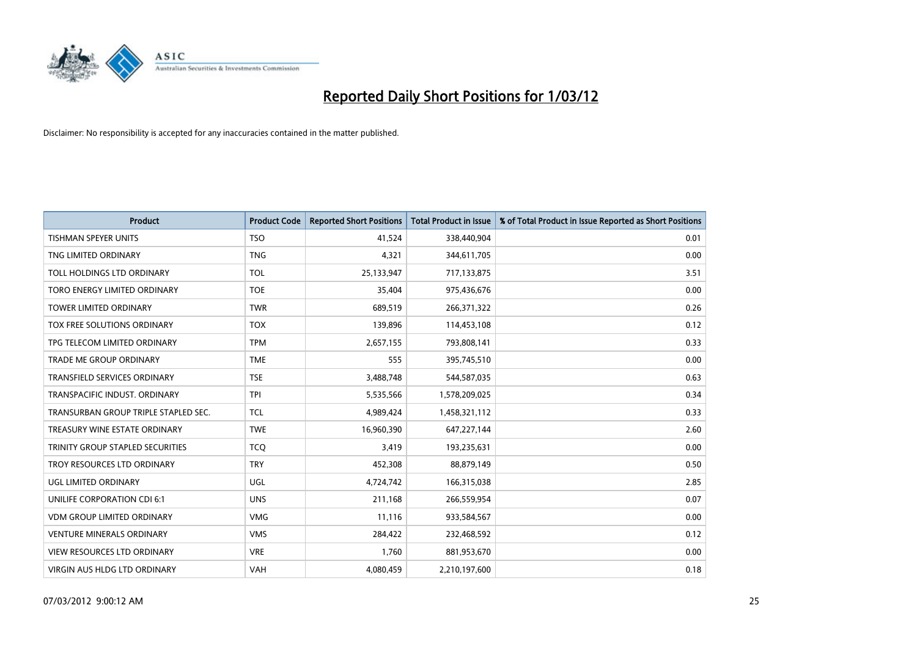

| <b>Product</b>                       | <b>Product Code</b> | <b>Reported Short Positions</b> | <b>Total Product in Issue</b> | % of Total Product in Issue Reported as Short Positions |
|--------------------------------------|---------------------|---------------------------------|-------------------------------|---------------------------------------------------------|
| <b>TISHMAN SPEYER UNITS</b>          | <b>TSO</b>          | 41,524                          | 338,440,904                   | 0.01                                                    |
| TNG LIMITED ORDINARY                 | <b>TNG</b>          | 4,321                           | 344,611,705                   | 0.00                                                    |
| TOLL HOLDINGS LTD ORDINARY           | <b>TOL</b>          | 25,133,947                      | 717,133,875                   | 3.51                                                    |
| TORO ENERGY LIMITED ORDINARY         | <b>TOE</b>          | 35,404                          | 975,436,676                   | 0.00                                                    |
| <b>TOWER LIMITED ORDINARY</b>        | <b>TWR</b>          | 689,519                         | 266,371,322                   | 0.26                                                    |
| TOX FREE SOLUTIONS ORDINARY          | <b>TOX</b>          | 139,896                         | 114,453,108                   | 0.12                                                    |
| TPG TELECOM LIMITED ORDINARY         | <b>TPM</b>          | 2,657,155                       | 793,808,141                   | 0.33                                                    |
| TRADE ME GROUP ORDINARY              | <b>TME</b>          | 555                             | 395,745,510                   | 0.00                                                    |
| <b>TRANSFIELD SERVICES ORDINARY</b>  | <b>TSE</b>          | 3,488,748                       | 544,587,035                   | 0.63                                                    |
| TRANSPACIFIC INDUST, ORDINARY        | <b>TPI</b>          | 5,535,566                       | 1,578,209,025                 | 0.34                                                    |
| TRANSURBAN GROUP TRIPLE STAPLED SEC. | <b>TCL</b>          | 4,989,424                       | 1,458,321,112                 | 0.33                                                    |
| TREASURY WINE ESTATE ORDINARY        | <b>TWE</b>          | 16,960,390                      | 647,227,144                   | 2.60                                                    |
| TRINITY GROUP STAPLED SECURITIES     | <b>TCQ</b>          | 3,419                           | 193,235,631                   | 0.00                                                    |
| TROY RESOURCES LTD ORDINARY          | <b>TRY</b>          | 452,308                         | 88,879,149                    | 0.50                                                    |
| UGL LIMITED ORDINARY                 | UGL                 | 4,724,742                       | 166,315,038                   | 2.85                                                    |
| UNILIFE CORPORATION CDI 6:1          | <b>UNS</b>          | 211,168                         | 266,559,954                   | 0.07                                                    |
| <b>VDM GROUP LIMITED ORDINARY</b>    | <b>VMG</b>          | 11,116                          | 933,584,567                   | 0.00                                                    |
| VENTURE MINERALS ORDINARY            | <b>VMS</b>          | 284,422                         | 232,468,592                   | 0.12                                                    |
| <b>VIEW RESOURCES LTD ORDINARY</b>   | <b>VRE</b>          | 1,760                           | 881,953,670                   | 0.00                                                    |
| VIRGIN AUS HLDG LTD ORDINARY         | <b>VAH</b>          | 4,080,459                       | 2,210,197,600                 | 0.18                                                    |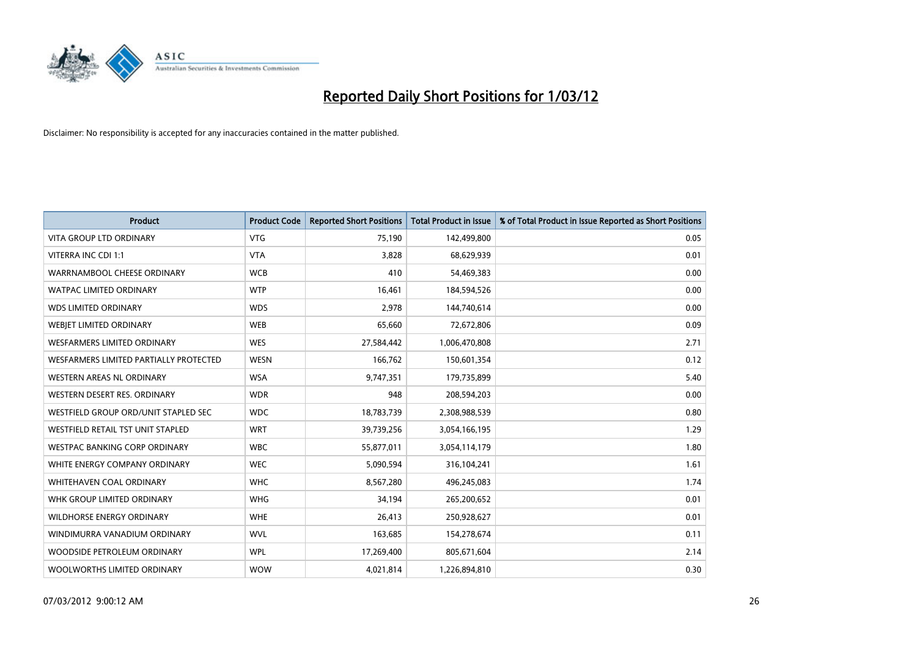

| <b>Product</b>                         | <b>Product Code</b> | <b>Reported Short Positions</b> | <b>Total Product in Issue</b> | % of Total Product in Issue Reported as Short Positions |
|----------------------------------------|---------------------|---------------------------------|-------------------------------|---------------------------------------------------------|
| <b>VITA GROUP LTD ORDINARY</b>         | <b>VTG</b>          | 75,190                          | 142,499,800                   | 0.05                                                    |
| VITERRA INC CDI 1:1                    | <b>VTA</b>          | 3,828                           | 68,629,939                    | 0.01                                                    |
| WARRNAMBOOL CHEESE ORDINARY            | <b>WCB</b>          | 410                             | 54,469,383                    | 0.00                                                    |
| <b>WATPAC LIMITED ORDINARY</b>         | <b>WTP</b>          | 16,461                          | 184,594,526                   | 0.00                                                    |
| <b>WDS LIMITED ORDINARY</b>            | <b>WDS</b>          | 2,978                           | 144,740,614                   | 0.00                                                    |
| WEBIET LIMITED ORDINARY                | <b>WEB</b>          | 65,660                          | 72,672,806                    | 0.09                                                    |
| <b>WESFARMERS LIMITED ORDINARY</b>     | <b>WES</b>          | 27,584,442                      | 1,006,470,808                 | 2.71                                                    |
| WESFARMERS LIMITED PARTIALLY PROTECTED | <b>WESN</b>         | 166,762                         | 150,601,354                   | 0.12                                                    |
| <b>WESTERN AREAS NL ORDINARY</b>       | <b>WSA</b>          | 9,747,351                       | 179,735,899                   | 5.40                                                    |
| WESTERN DESERT RES. ORDINARY           | <b>WDR</b>          | 948                             | 208,594,203                   | 0.00                                                    |
| WESTFIELD GROUP ORD/UNIT STAPLED SEC   | <b>WDC</b>          | 18,783,739                      | 2,308,988,539                 | 0.80                                                    |
| WESTFIELD RETAIL TST UNIT STAPLED      | <b>WRT</b>          | 39,739,256                      | 3,054,166,195                 | 1.29                                                    |
| WESTPAC BANKING CORP ORDINARY          | <b>WBC</b>          | 55,877,011                      | 3,054,114,179                 | 1.80                                                    |
| WHITE ENERGY COMPANY ORDINARY          | <b>WEC</b>          | 5,090,594                       | 316,104,241                   | 1.61                                                    |
| WHITEHAVEN COAL ORDINARY               | <b>WHC</b>          | 8,567,280                       | 496,245,083                   | 1.74                                                    |
| WHK GROUP LIMITED ORDINARY             | <b>WHG</b>          | 34,194                          | 265,200,652                   | 0.01                                                    |
| WILDHORSE ENERGY ORDINARY              | <b>WHE</b>          | 26,413                          | 250,928,627                   | 0.01                                                    |
| WINDIMURRA VANADIUM ORDINARY           | <b>WVL</b>          | 163,685                         | 154,278,674                   | 0.11                                                    |
| WOODSIDE PETROLEUM ORDINARY            | <b>WPL</b>          | 17,269,400                      | 805,671,604                   | 2.14                                                    |
| WOOLWORTHS LIMITED ORDINARY            | <b>WOW</b>          | 4,021,814                       | 1,226,894,810                 | 0.30                                                    |